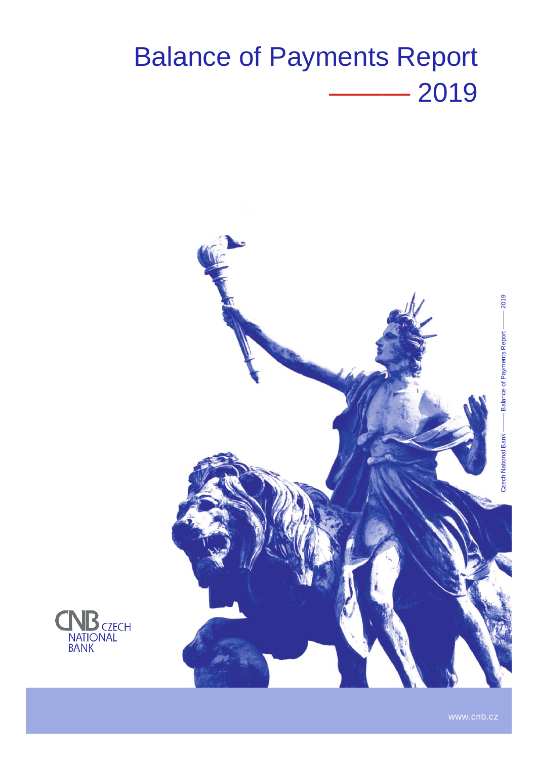# Balance of Payments Report ——— 2019



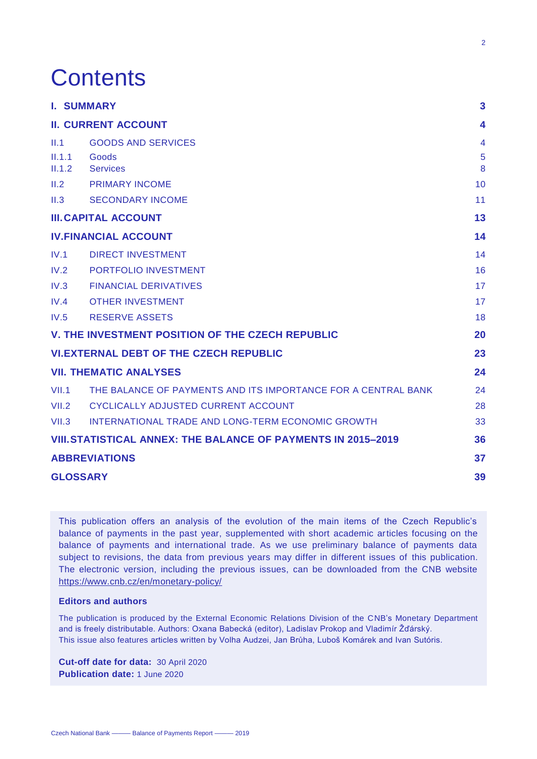## **Contents**

|        | <b>I. SUMMARY</b>                                                    | 3              |
|--------|----------------------------------------------------------------------|----------------|
|        | <b>II. CURRENT ACCOUNT</b>                                           | 4              |
| II.1   | <b>GOODS AND SERVICES</b>                                            | $\overline{4}$ |
| II.1.1 | Goods                                                                | 5              |
| II.1.2 | <b>Services</b>                                                      | 8              |
| II.2   | <b>PRIMARY INCOME</b>                                                | 10             |
| II.3   | <b>SECONDARY INCOME</b>                                              | 11             |
|        | <b>III. CAPITAL ACCOUNT</b>                                          | 13             |
|        | <b>IV.FINANCIAL ACCOUNT</b>                                          | 14             |
| IV.1   | <b>DIRECT INVESTMENT</b>                                             | 14             |
| IV.2   | <b>PORTFOLIO INVESTMENT</b>                                          | 16             |
| IV.3   | <b>FINANCIAL DERIVATIVES</b>                                         | 17             |
| IV.4   | <b>OTHER INVESTMENT</b>                                              | 17             |
| IV.5   | <b>RESERVE ASSETS</b>                                                | 18             |
|        | V. THE INVESTMENT POSITION OF THE CZECH REPUBLIC                     | 20             |
|        | <b>VI.EXTERNAL DEBT OF THE CZECH REPUBLIC</b>                        | 23             |
|        | <b>VII. THEMATIC ANALYSES</b>                                        | 24             |
| VII.1  | THE BALANCE OF PAYMENTS AND ITS IMPORTANCE FOR A CENTRAL BANK        | 24             |
| VII.2  | CYCLICALLY ADJUSTED CURRENT ACCOUNT                                  | 28             |
| VII.3  | INTERNATIONAL TRADE AND LONG-TERM ECONOMIC GROWTH                    | 33             |
|        | <b>VIII. STATISTICAL ANNEX: THE BALANCE OF PAYMENTS IN 2015-2019</b> | 36             |
|        | <b>ABBREVIATIONS</b>                                                 | 37             |
|        | <b>GLOSSARY</b>                                                      | 39             |

This publication offers an analysis of the evolution of the main items of the Czech Republic's balance of payments in the past year, supplemented with short academic articles focusing on the balance of payments and international trade. As we use preliminary balance of payments data subject to revisions, the data from previous years may differ in different issues of this publication. The electronic version, including the previous issues, can be downloaded from the CNB website <https://www.cnb.cz/en/monetary-policy/>

#### **Editors and authors**

The publication is produced by the External Economic Relations Division of the CNB's Monetary Department and is freely distributable. Authors: Oxana Babecká (editor), Ladislav Prokop and Vladimír Žďárský. This issue also features articles written by Volha Audzei, Jan Brůha, Luboš Komárek and Ivan Sutóris.

**Cut-off date for data:** 30 April 2020 **Publication date:** 1 June 2020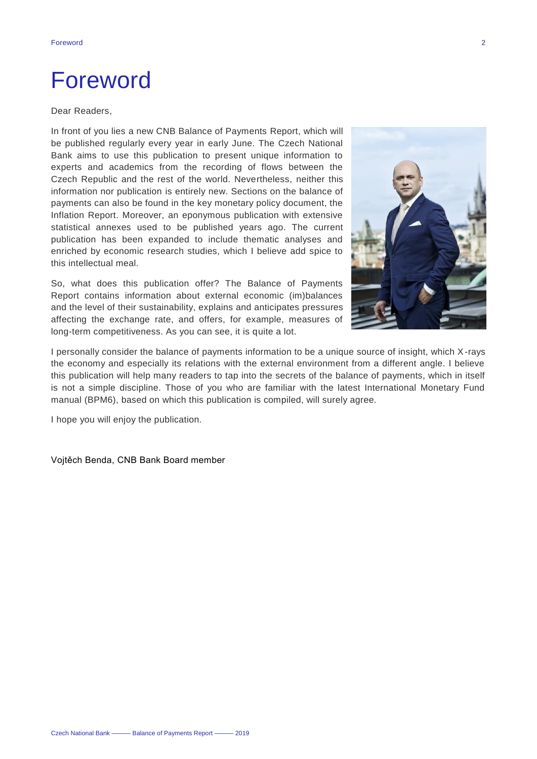### Foreword

#### Dear Readers,

In front of you lies a new CNB Balance of Payments Report, which will be published regularly every year in early June. The Czech National Bank aims to use this publication to present unique information to experts and academics from the recording of flows between the Czech Republic and the rest of the world. Nevertheless, neither this information nor publication is entirely new. Sections on the balance of payments can also be found in the key monetary policy document, the Inflation Report. Moreover, an eponymous publication with extensive statistical annexes used to be published years ago. The current publication has been expanded to include thematic analyses and enriched by economic research studies, which I believe add spice to this intellectual meal.

So, what does this publication offer? The Balance of Payments Report contains information about external economic (im)balances and the level of their sustainability, explains and anticipates pressures affecting the exchange rate, and offers, for example, measures of long-term competitiveness. As you can see, it is quite a lot.



I personally consider the balance of payments information to be a unique source of insight, which X-rays the economy and especially its relations with the external environment from a different angle. I believe this publication will help many readers to tap into the secrets of the balance of payments, which in itself is not a simple discipline. Those of you who are familiar with the latest International Monetary Fund manual (BPM6), based on which this publication is compiled, will surely agree.

I hope you will enjoy the publication.

Vojtěch Benda, CNB Bank Board member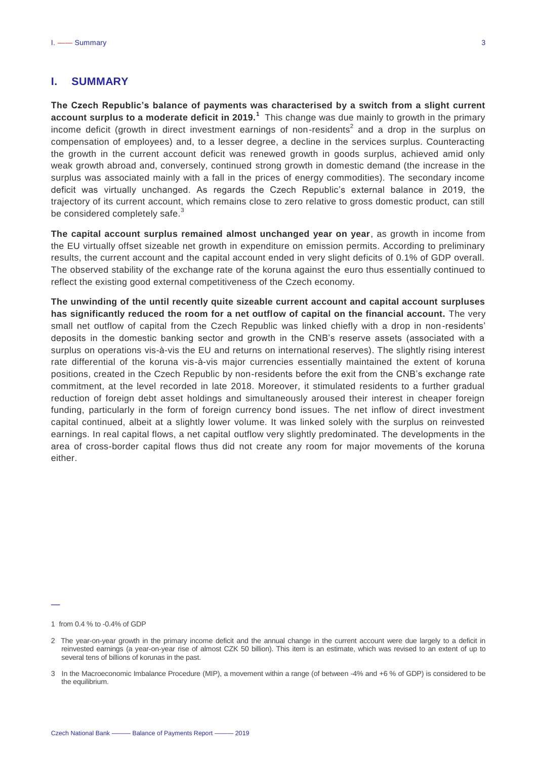#### <span id="page-3-0"></span>**I. SUMMARY**

**The Czech Republic's balance of payments was characterised by a switch from a slight current account surplus to a moderate deficit in 2019.<sup>1</sup>** This change was due mainly to growth in the primary income deficit (growth in direct investment earnings of non-residents<sup>2</sup> and a drop in the surplus on compensation of employees) and, to a lesser degree, a decline in the services surplus. Counteracting the growth in the current account deficit was renewed growth in goods surplus, achieved amid only weak growth abroad and, conversely, continued strong growth in domestic demand (the increase in the surplus was associated mainly with a fall in the prices of energy commodities). The secondary income deficit was virtually unchanged. As regards the Czech Republic's external balance in 2019, the trajectory of its current account, which remains close to zero relative to gross domestic product, can still be considered completely safe.<sup>3</sup>

**The capital account surplus remained almost unchanged year on year**, as growth in income from the EU virtually offset sizeable net growth in expenditure on emission permits. According to preliminary results, the current account and the capital account ended in very slight deficits of 0.1% of GDP overall. The observed stability of the exchange rate of the koruna against the euro thus essentially continued to reflect the existing good external competitiveness of the Czech economy.

**The unwinding of the until recently quite sizeable current account and capital account surpluses has significantly reduced the room for a net outflow of capital on the financial account.** The very small net outflow of capital from the Czech Republic was linked chiefly with a drop in non-residents' deposits in the domestic banking sector and growth in the CNB's reserve assets (associated with a surplus on operations vis-à-vis the EU and returns on international reserves). The slightly rising interest rate differential of the koruna vis-à-vis major currencies essentially maintained the extent of koruna positions, created in the Czech Republic by non-residents before the exit from the CNB's exchange rate commitment, at the level recorded in late 2018. Moreover, it stimulated residents to a further gradual reduction of foreign debt asset holdings and simultaneously aroused their interest in cheaper foreign funding, particularly in the form of foreign currency bond issues. The net inflow of direct investment capital continued, albeit at a slightly lower volume. It was linked solely with the surplus on reinvested earnings. In real capital flows, a net capital outflow very slightly predominated. The developments in the area of cross-border capital flows thus did not create any room for major movements of the koruna either.

<sup>1</sup> from 0.4 % to -0.4% of GDP

<sup>2</sup> The year-on-year growth in the primary income deficit and the annual change in the current account were due largely to a deficit in reinvested earnings (a year-on-year rise of almost CZK 50 billion). This item is an estimate, which was revised to an extent of up to several tens of billions of korunas in the past.

<sup>3</sup> In the Macroeconomic Imbalance Procedure (MIP), a movement within a range (of between -4% and +6 % of GDP) is considered to be the equilibrium.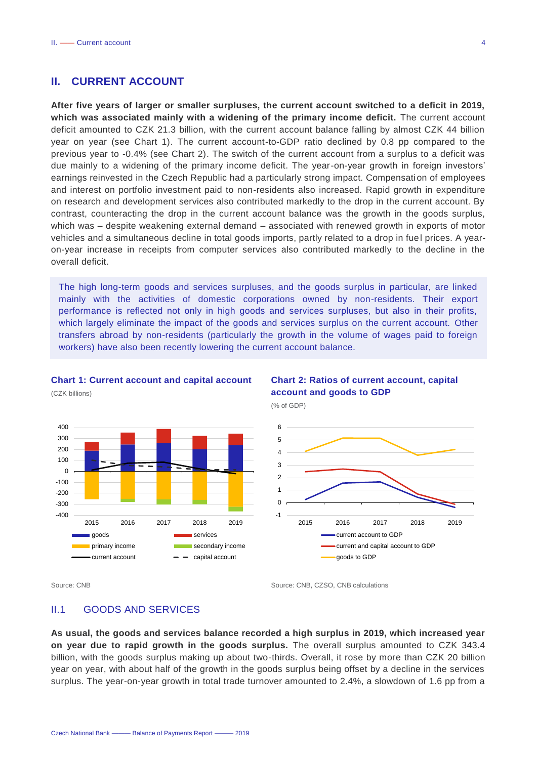#### <span id="page-4-0"></span>**II. CURRENT ACCOUNT**

**After five years of larger or smaller surpluses, the current account switched to a deficit in 2019, which was associated mainly with a widening of the primary income deficit.** The current account deficit amounted to CZK 21.3 billion, with the current account balance falling by almost CZK 44 billion year on year (see Chart 1). The current account-to-GDP ratio declined by 0.8 pp compared to the previous year to -0.4% (see Chart 2). The switch of the current account from a surplus to a deficit was due mainly to a widening of the primary income deficit. The year-on-year growth in foreign investors' earnings reinvested in the Czech Republic had a particularly strong impact. Compensation of employees and interest on portfolio investment paid to non-residents also increased. Rapid growth in expenditure on research and development services also contributed markedly to the drop in the current account. By contrast, counteracting the drop in the current account balance was the growth in the goods surplus, which was – despite weakening external demand – associated with renewed growth in exports of motor vehicles and a simultaneous decline in total goods imports, partly related to a drop in fue l prices. A yearon-year increase in receipts from computer services also contributed markedly to the decline in the overall deficit.

The high long-term goods and services surpluses, and the goods surplus in particular, are linked mainly with the activities of domestic corporations owned by non-residents. Their export performance is reflected not only in high goods and services surpluses, but also in their profits, which largely eliminate the impact of the goods and services surplus on the current account. Other transfers abroad by non-residents (particularly the growth in the volume of wages paid to foreign workers) have also been recently lowering the current account balance.

#### **Chart 1: Current account and capital account**



#### **Chart 2: Ratios of current account, capital account and goods to GDP**

(% of GDP)



(CZK billions)

Source: CNB Source: CNB Source: CNB, CZSO, CNB calculations

#### <span id="page-4-1"></span>II.1 GOODS AND SERVICES

**As usual, the goods and services balance recorded a high surplus in 2019, which increased year on year due to rapid growth in the goods surplus.** The overall surplus amounted to CZK 343.4 billion, with the goods surplus making up about two-thirds. Overall, it rose by more than CZK 20 billion year on year, with about half of the growth in the goods surplus being offset by a decline in the services surplus. The year-on-year growth in total trade turnover amounted to 2.4%, a slowdown of 1.6 pp from a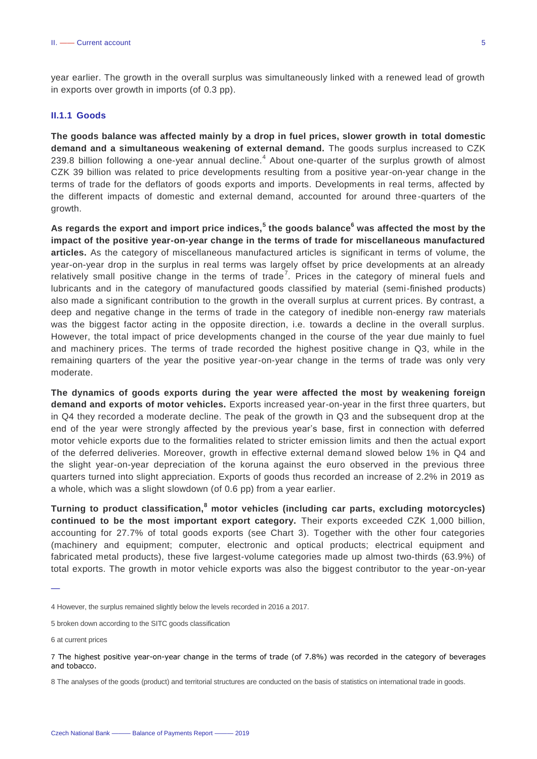year earlier. The growth in the overall surplus was simultaneously linked with a renewed lead of growth in exports over growth in imports (of 0.3 pp).

#### <span id="page-5-0"></span>**II.1.1 Goods**

**The goods balance was affected mainly by a drop in fuel prices, slower growth in total domestic demand and a simultaneous weakening of external demand.** The goods surplus increased to CZK 239.8 billion following a one-year annual decline. $<sup>4</sup>$  About one-quarter of the surplus growth of almost</sup> CZK 39 billion was related to price developments resulting from a positive year-on-year change in the terms of trade for the deflators of goods exports and imports. Developments in real terms, affected by the different impacts of domestic and external demand, accounted for around three-quarters of the growth.

**As regards the export and import price indices,<sup>5</sup> the goods balance<sup>6</sup> was affected the most by the impact of the positive year-on-year change in the terms of trade for miscellaneous manufactured articles.** As the category of miscellaneous manufactured articles is significant in terms of volume, the year-on-year drop in the surplus in real terms was largely offset by price developments at an already relatively small positive change in the terms of trade<sup>7</sup>. Prices in the category of mineral fuels and lubricants and in the category of manufactured goods classified by material (semi-finished products) also made a significant contribution to the growth in the overall surplus at current prices. By contrast, a deep and negative change in the terms of trade in the category of inedible non-energy raw materials was the biggest factor acting in the opposite direction, i.e. towards a decline in the overall surplus. However, the total impact of price developments changed in the course of the year due mainly to fuel and machinery prices. The terms of trade recorded the highest positive change in Q3, while in the remaining quarters of the year the positive year-on-year change in the terms of trade was only very moderate.

**The dynamics of goods exports during the year were affected the most by weakening foreign demand and exports of motor vehicles.** Exports increased year-on-year in the first three quarters, but in Q4 they recorded a moderate decline. The peak of the growth in Q3 and the subsequent drop at the end of the year were strongly affected by the previous year's base, first in connection with deferred motor vehicle exports due to the formalities related to stricter emission limits and then the actual export of the deferred deliveries. Moreover, growth in effective external demand slowed below 1% in Q4 and the slight year-on-year depreciation of the koruna against the euro observed in the previous three quarters turned into slight appreciation. Exports of goods thus recorded an increase of 2.2% in 2019 as a whole, which was a slight slowdown (of 0.6 pp) from a year earlier.

**Turning to product classification,<sup>8</sup> motor vehicles (including car parts, excluding motorcycles) continued to be the most important export category.** Their exports exceeded CZK 1,000 billion, accounting for 27.7% of total goods exports (see Chart 3). Together with the other four categories (machinery and equipment; computer, electronic and optical products; electrical equipment and fabricated metal products), these five largest-volume categories made up almost two-thirds (63.9%) of total exports. The growth in motor vehicle exports was also the biggest contributor to the year-on-year

6 at current prices

<sup>4</sup> However, the surplus remained slightly below the levels recorded in 2016 a 2017.

<sup>5</sup> broken down according to the SITC goods classification

<sup>7</sup> The highest positive year-on-year change in the terms of trade (of 7.8%) was recorded in the category of beverages and tobacco.

<sup>8</sup> The analyses of the goods (product) and territorial structures are conducted on the basis of statistics on international trade in goods.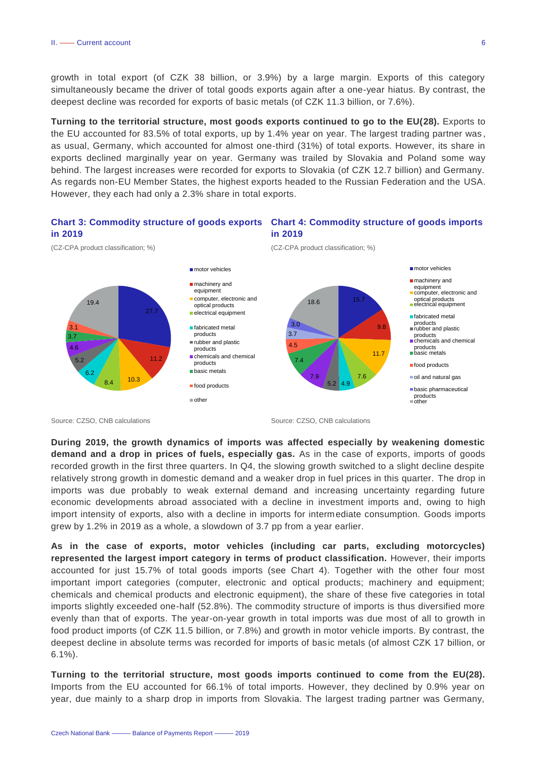growth in total export (of CZK 38 billion, or 3.9%) by a large margin. Exports of this category simultaneously became the driver of total goods exports again after a one-year hiatus. By contrast, the deepest decline was recorded for exports of basic metals (of CZK 11.3 billion, or 7.6%).

**Turning to the territorial structure, most goods exports continued to go to the EU(28).** Exports to the EU accounted for 83.5% of total exports, up by 1.4% year on year. The largest trading partner was , as usual, Germany, which accounted for almost one-third (31%) of total exports. However, its share in exports declined marginally year on year. Germany was trailed by Slovakia and Poland some way behind. The largest increases were recorded for exports to Slovakia (of CZK 12.7 billion) and Germany. As regards non-EU Member States, the highest exports headed to the Russian Federation and the USA. However, they each had only a 2.3% share in total exports.





Source: CZSO, CNB calculations Source: CZSO, CNB calculations Source: CZSO, CNB calculations

**During 2019, the growth dynamics of imports was affected especially by weakening domestic demand and a drop in prices of fuels, especially gas.** As in the case of exports, imports of goods recorded growth in the first three quarters. In Q4, the slowing growth switched to a slight decline despite relatively strong growth in domestic demand and a weaker drop in fuel prices in this quarter. The drop in imports was due probably to weak external demand and increasing uncertainty regarding future economic developments abroad associated with a decline in investment imports and, owing to high import intensity of exports, also with a decline in imports for intermediate consumption. Goods imports grew by 1.2% in 2019 as a whole, a slowdown of 3.7 pp from a year earlier.

**As in the case of exports, motor vehicles (including car parts, excluding motorcycles) represented the largest import category in terms of product classification.** However, their imports accounted for just 15.7% of total goods imports (see Chart 4). Together with the other four most important import categories (computer, electronic and optical products; machinery and equipment; chemicals and chemical products and electronic equipment), the share of these five categories in total imports slightly exceeded one-half (52.8%). The commodity structure of imports is thus diversified more evenly than that of exports. The year-on-year growth in total imports was due most of all to growth in food product imports (of CZK 11.5 billion, or 7.8%) and growth in motor vehicle imports. By contrast, the deepest decline in absolute terms was recorded for imports of basic metals (of almost CZK 17 billion, or 6.1%).

**Turning to the territorial structure, most goods imports continued to come from the EU(28).**  Imports from the EU accounted for 66.1% of total imports. However, they declined by 0.9% year on year, due mainly to a sharp drop in imports from Slovakia. The largest trading partner was Germany,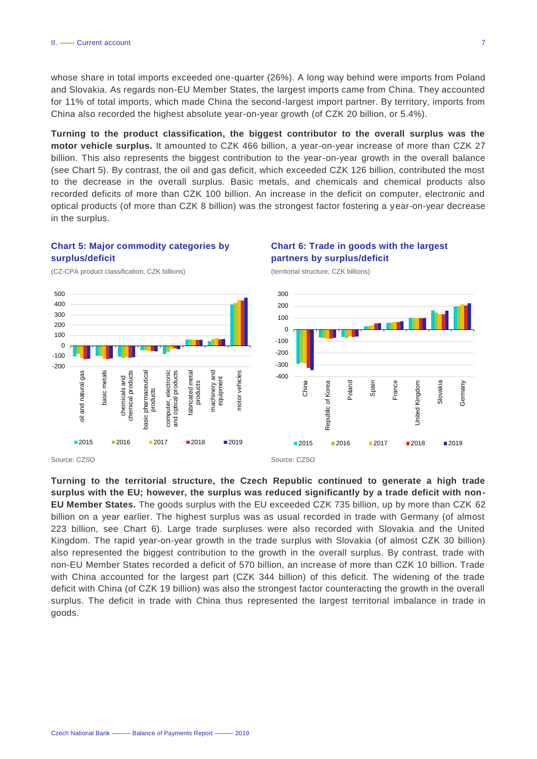whose share in total imports exceeded one-quarter (26%). A long way behind were imports from Poland and Slovakia. As regards non-EU Member States, the largest imports came from China. They accounted for 11% of total imports, which made China the second-largest import partner. By territory, imports from China also recorded the highest absolute year-on-year growth (of CZK 20 billion, or 5.4%).

**Turning to the product classification, the biggest contributor to the overall surplus was the motor vehicle surplus.** It amounted to CZK 466 billion, a year-on-year increase of more than CZK 27 billion. This also represents the biggest contribution to the year-on-year growth in the overall balance (see Chart 5). By contrast, the oil and gas deficit, which exceeded CZK 126 billion, contributed the most to the decrease in the overall surplus. Basic metals, and chemicals and chemical products also recorded deficits of more than CZK 100 billion. An increase in the deficit on computer, electronic and optical products (of more than CZK 8 billion) was the strongest factor fostering a year-on-year decrease in the surplus.

#### **Chart 5: Major commodity categories by surplus/deficit**

(CZ-CPA product classification; CZK billions)



#### **Chart 6: Trade in goods with the largest partners by surplus/deficit**

(territorial structure; CZK billions)



**Turning to the territorial structure, the Czech Republic continued to generate a high trade surplus with the EU; however, the surplus was reduced significantly by a trade deficit with non-EU Member States.** The goods surplus with the EU exceeded CZK 735 billion, up by more than CZK 62 billion on a year earlier. The highest surplus was as usual recorded in trade with Germany (of almost 223 billion, see Chart 6). Large trade surpluses were also recorded with Slovakia and the United Kingdom. The rapid year-on-year growth in the trade surplus with Slovakia (of almost CZK 30 billion) also represented the biggest contribution to the growth in the overall surplus. By contrast, trade with non-EU Member States recorded a deficit of 570 billion, an increase of more than CZK 10 billion. Trade with China accounted for the largest part (CZK 344 billion) of this deficit. The widening of the trade deficit with China (of CZK 19 billion) was also the strongest factor counteracting the growth in the overall surplus. The deficit in trade with China thus represented the largest territorial imbalance in trade in goods.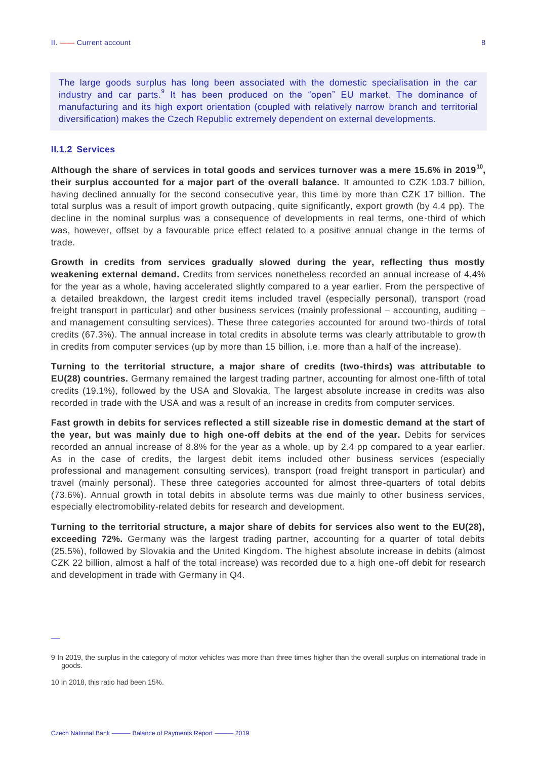The large goods surplus has long been associated with the domestic specialisation in the car industry and car parts.<sup>9</sup> It has been produced on the "open" EU market. The dominance of manufacturing and its high export orientation (coupled with relatively narrow branch and territorial diversification) makes the Czech Republic extremely dependent on external developments.

#### <span id="page-8-0"></span>**II.1.2 Services**

**Although the share of services in total goods and services turnover was a mere 15.6% in 2019<sup>10</sup> , their surplus accounted for a major part of the overall balance.** It amounted to CZK 103.7 billion, having declined annually for the second consecutive year, this time by more than CZK 17 billion. The total surplus was a result of import growth outpacing, quite significantly, export growth (by 4.4 pp). The decline in the nominal surplus was a consequence of developments in real terms, one-third of which was, however, offset by a favourable price effect related to a positive annual change in the terms of trade.

**Growth in credits from services gradually slowed during the year, reflecting thus mostly weakening external demand.** Credits from services nonetheless recorded an annual increase of 4.4% for the year as a whole, having accelerated slightly compared to a year earlier. From the perspective of a detailed breakdown, the largest credit items included travel (especially personal), transport (road freight transport in particular) and other business services (mainly professional – accounting, auditing – and management consulting services). These three categories accounted for around two-thirds of total credits (67.3%). The annual increase in total credits in absolute terms was clearly attributable to grow th in credits from computer services (up by more than 15 billion, i.e. more than a half of the increase).

**Turning to the territorial structure, a major share of credits (two-thirds) was attributable to EU(28) countries.** Germany remained the largest trading partner, accounting for almost one-fifth of total credits (19.1%), followed by the USA and Slovakia. The largest absolute increase in credits was also recorded in trade with the USA and was a result of an increase in credits from computer services.

**Fast growth in debits for services reflected a still sizeable rise in domestic demand at the start of the year, but was mainly due to high one-off debits at the end of the year.** Debits for services recorded an annual increase of 8.8% for the year as a whole, up by 2.4 pp compared to a year earlier. As in the case of credits, the largest debit items included other business services (especially professional and management consulting services), transport (road freight transport in particular) and travel (mainly personal). These three categories accounted for almost three-quarters of total debits (73.6%). Annual growth in total debits in absolute terms was due mainly to other business services, especially electromobility-related debits for research and development.

**Turning to the territorial structure, a major share of debits for services also went to the EU(28), exceeding 72%.** Germany was the largest trading partner, accounting for a quarter of total debits (25.5%), followed by Slovakia and the United Kingdom. The highest absolute increase in debits (almost CZK 22 billion, almost a half of the total increase) was recorded due to a high one-off debit for research and development in trade with Germany in Q4.

<sup>9</sup> In 2019, the surplus in the category of motor vehicles was more than three times higher than the overall surplus on international trade in goods.

<sup>10</sup> In 2018, this ratio had been 15%.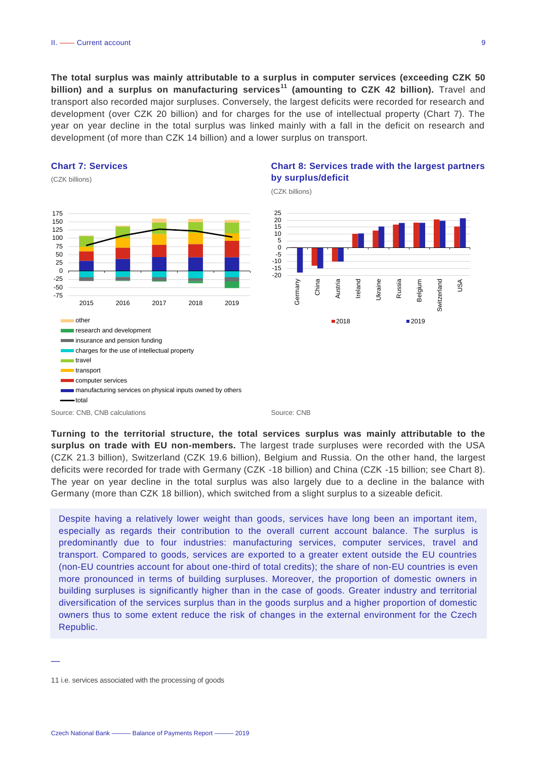**The total surplus was mainly attributable to a surplus in computer services (exceeding CZK 50 billion) and a surplus on manufacturing services<sup>11</sup> (amounting to CZK 42 billion).** Travel and transport also recorded major surpluses. Conversely, the largest deficits were recorded for research and development (over CZK 20 billion) and for charges for the use of intellectual property (Chart 7). The year on year decline in the total surplus was linked mainly with a fall in the deficit on research and development (of more than CZK 14 billion) and a lower surplus on transport.

#### **Chart 7: Services**

(CZK billions)



#### **Chart 8: Services trade with the largest partners by surplus/deficit**

(CZK billions)



**Turning to the territorial structure, the total services surplus was mainly attributable to the surplus on trade with EU non-members.** The largest trade surpluses were recorded with the USA (CZK 21.3 billion), Switzerland (CZK 19.6 billion), Belgium and Russia. On the other hand, the largest deficits were recorded for trade with Germany (CZK -18 billion) and China (CZK -15 billion; see Chart 8). The year on year decline in the total surplus was also largely due to a decline in the balance with Germany (more than CZK 18 billion), which switched from a slight surplus to a sizeable deficit.

Despite having a relatively lower weight than goods, services have long been an important item, especially as regards their contribution to the overall current account balance. The surplus is predominantly due to four industries: manufacturing services, computer services, travel and transport. Compared to goods, services are exported to a greater extent outside the EU countries (non-EU countries account for about one-third of total credits); the share of non-EU countries is even more pronounced in terms of building surpluses. Moreover, the proportion of domestic owners in building surpluses is significantly higher than in the case of goods. Greater industry and territorial diversification of the services surplus than in the goods surplus and a higher proportion of domestic owners thus to some extent reduce the risk of changes in the external environment for the Czech Republic.

<sup>11</sup> i.e. services associated with the processing of goods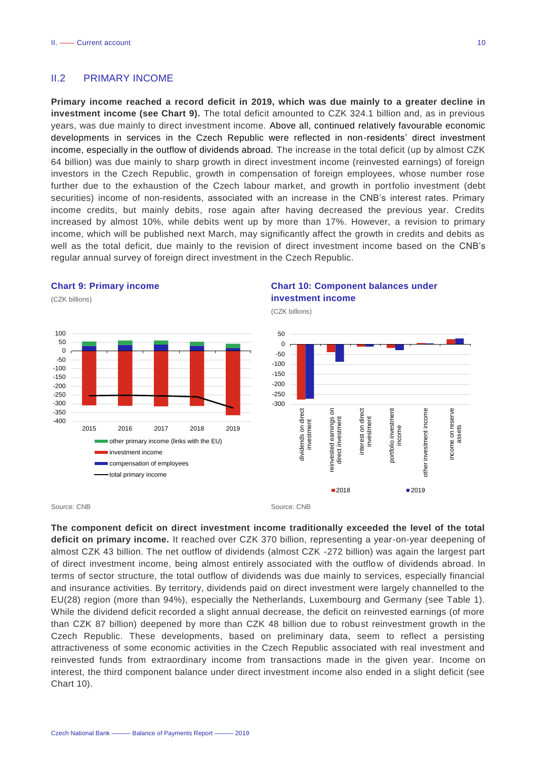#### <span id="page-10-0"></span>II.2 PRIMARY INCOME

**Primary income reached a record deficit in 2019, which was due mainly to a greater decline in investment income (see Chart 9).** The total deficit amounted to CZK 324.1 billion and, as in previous years, was due mainly to direct investment income. Above all, continued relatively favourable economic developments in services in the Czech Republic were reflected in non-residents' direct investment income, especially in the outflow of dividends abroad. The increase in the total deficit (up by almost CZK 64 billion) was due mainly to sharp growth in direct investment income (reinvested earnings) of foreign investors in the Czech Republic, growth in compensation of foreign employees, whose number rose further due to the exhaustion of the Czech labour market, and growth in portfolio investment (debt securities) income of non-residents, associated with an increase in the CNB's interest rates. Primary income credits, but mainly debits, rose again after having decreased the previous year. Credits increased by almost 10%, while debits went up by more than 17%. However, a revision to primary income, which will be published next March, may significantly affect the growth in credits and debits as well as the total deficit, due mainly to the revision of direct investment income based on the CNB's regular annual survey of foreign direct investment in the Czech Republic.

#### **Chart 9: Primary income**

(CZK billions) -400 -350 -300 -250 -200 -150  $-100$ -50  $\Omega$ 50  $100$ 2015 2016 2017 2018 2019 other primary income (links with the EU) **ninvestment** income **Compensation of employees** total primary income

#### **Chart 10: Component balances under investment income**

(CZK billions)



#### Source: CNB Source: CNB

**The component deficit on direct investment income traditionally exceeded the level of the total deficit on primary income.** It reached over CZK 370 billion, representing a year-on-year deepening of almost CZK 43 billion. The net outflow of dividends (almost CZK -272 billion) was again the largest part of direct investment income, being almost entirely associated with the outflow of dividends abroad. In terms of sector structure, the total outflow of dividends was due mainly to services, especially financial and insurance activities. By territory, dividends paid on direct investment were largely channelled to the EU(28) region (more than 94%), especially the Netherlands, Luxembourg and Germany (see Table 1). While the dividend deficit recorded a slight annual decrease, the deficit on reinvested earnings (of more than CZK 87 billion) deepened by more than CZK 48 billion due to robust reinvestment growth in the Czech Republic. These developments, based on preliminary data, seem to reflect a persisting attractiveness of some economic activities in the Czech Republic associated with real investment and reinvested funds from extraordinary income from transactions made in the given year. Income on interest, the third component balance under direct investment income also ended in a slight deficit (see Chart 10).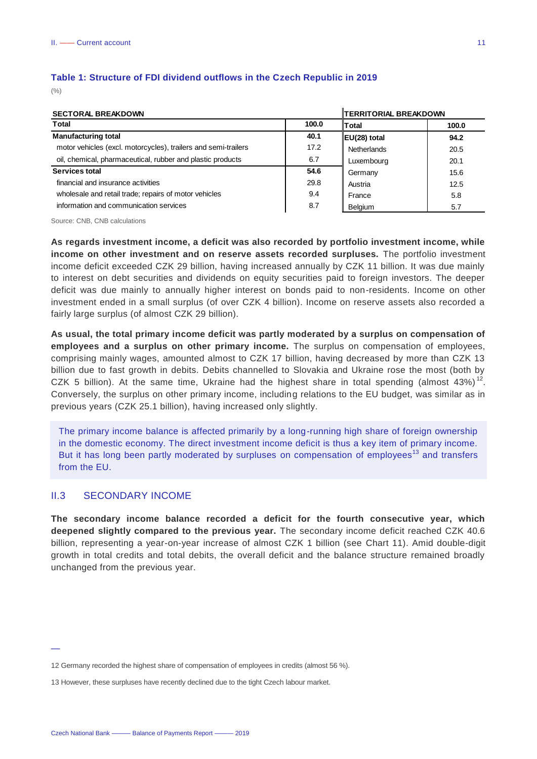#### **Table 1: Structure of FDI dividend outflows in the Czech Republic in 2019**

 $($ % $)$ 

| <b>SECTORAL BREAKDOWN</b>                                      |       |              | <b>TERRITORIAL BREAKDOWN</b> |  |  |
|----------------------------------------------------------------|-------|--------------|------------------------------|--|--|
| <b>Total</b>                                                   | 100.0 | Total        | 100.0                        |  |  |
| <b>Manufacturing total</b>                                     | 40.1  | EU(28) total | 94.2                         |  |  |
| motor vehicles (excl. motorcycles), trailers and semi-trailers | 17.2  | Netherlands  | 20.5                         |  |  |
| oil, chemical, pharmaceutical, rubber and plastic products     | 6.7   | Luxembourg   | 20.1                         |  |  |
| Services total                                                 | 54.6  | Germany      | 15.6                         |  |  |
| financial and insurance activities                             | 29.8  | Austria      | 12.5                         |  |  |
| wholesale and retail trade; repairs of motor vehicles          | 9.4   | France       | 5.8                          |  |  |
| information and communication services                         | 8.7   | Belgium      | 5.7                          |  |  |

Source: CNB, CNB calculations

**As regards investment income, a deficit was also recorded by portfolio investment income, while income on other investment and on reserve assets recorded surpluses.** The portfolio investment income deficit exceeded CZK 29 billion, having increased annually by CZK 11 billion. It was due mainly to interest on debt securities and dividends on equity securities paid to foreign investors. The deeper deficit was due mainly to annually higher interest on bonds paid to non-residents. Income on other investment ended in a small surplus (of over CZK 4 billion). Income on reserve assets also recorded a fairly large surplus (of almost CZK 29 billion).

**As usual, the total primary income deficit was partly moderated by a surplus on compensation of employees and a surplus on other primary income.** The surplus on compensation of employees, comprising mainly wages, amounted almost to CZK 17 billion, having decreased by more than CZK 13 billion due to fast growth in debits. Debits channelled to Slovakia and Ukraine rose the most (both by CZK 5 billion). At the same time, Ukraine had the highest share in total spending (almost 43%)<sup>12</sup>. Conversely, the surplus on other primary income, including relations to the EU budget, was similar as in previous years (CZK 25.1 billion), having increased only slightly.

The primary income balance is affected primarily by a long-running high share of foreign ownership in the domestic economy. The direct investment income deficit is thus a key item of primary income. But it has long been partly moderated by surpluses on compensation of employees<sup>13</sup> and transfers from the EU.

#### <span id="page-11-0"></span>II.3 SECONDARY INCOME

—

**The secondary income balance recorded a deficit for the fourth consecutive year, which deepened slightly compared to the previous year.** The secondary income deficit reached CZK 40.6 billion, representing a year-on-year increase of almost CZK 1 billion (see Chart 11). Amid double-digit growth in total credits and total debits, the overall deficit and the balance structure remained broadly unchanged from the previous year.

<sup>12</sup> Germany recorded the highest share of compensation of employees in credits (almost 56 %).

<sup>13</sup> However, these surpluses have recently declined due to the tight Czech labour market.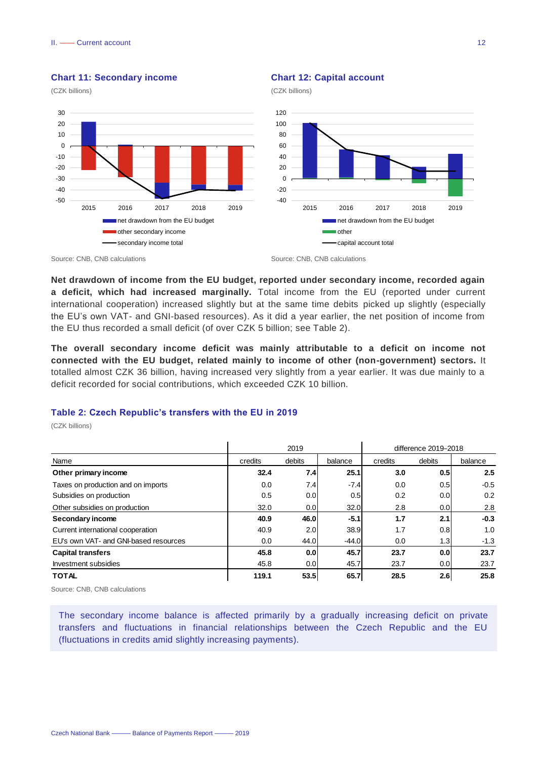

#### **Chart 11: Secondary income**

#### **Chart 12: Capital account**

(CZK billions)



#### Source: CNB, CNB calculations Source: CNB, CNB calculations

**Net drawdown of income from the EU budget, reported under secondary income, recorded again a deficit, which had increased marginally.** Total income from the EU (reported under current international cooperation) increased slightly but at the same time debits picked up slightly (especially the EU's own VAT- and GNI-based resources). As it did a year earlier, the net position of income from the EU thus recorded a small deficit (of over CZK 5 billion; see Table 2).

**The overall secondary income deficit was mainly attributable to a deficit on income not connected with the EU budget, related mainly to income of other (non-government) sectors.** It totalled almost CZK 36 billion, having increased very slightly from a year earlier. It was due mainly to a deficit recorded for social contributions, which exceeded CZK 10 billion.

#### **Table 2: Czech Republic's transfers with the EU in 2019**

(CZK billions)

|                                       | 2019    |                  |         | difference 2019-2018 |                  |         |
|---------------------------------------|---------|------------------|---------|----------------------|------------------|---------|
| Name                                  | credits | debits           | balance | credits              | debits           | balance |
| Other primary income                  | 32.4    | 7.4              | 25.1    | 3.0                  | 0.5              | 2.5     |
| Taxes on production and on imports    | 0.0     | 7.4              | $-7.4$  | 0.0                  | 0.5              | $-0.5$  |
| Subsidies on production               | 0.5     | 0.0              | 0.5     | 0.2                  | 0.0 <sub>l</sub> | 0.2     |
| Other subsidies on production         | 32.0    | 0.0 <sub>l</sub> | 32.0    | 2.8                  | 0.0 <sub>l</sub> | 2.8     |
| Secondary income                      | 40.9    | 46.0             | $-5.1$  | 1.7                  | 2.1              | $-0.3$  |
| Current international cooperation     | 40.9    | 2.0 <sub>l</sub> | 38.9    | 1.7                  | 0.8              | 1.0     |
| EU's own VAT- and GNI-based resources | 0.0     | 44.0             | $-44.0$ | 0.0                  | 1.3              | $-1.3$  |
| <b>Capital transfers</b>              | 45.8    | 0.0 <sub>1</sub> | 45.7    | 23.7                 | 0.0 <sub>l</sub> | 23.7    |
| Investment subsidies                  | 45.8    | 0.0 <sub>l</sub> | 45.7    | 23.7                 | 0.0              | 23.7    |
| <b>TOTAL</b>                          | 119.1   | 53.5             | 65.7    | 28.5                 | 2.6              | 25.8    |

Source: CNB, CNB calculations

The secondary income balance is affected primarily by a gradually increasing deficit on private transfers and fluctuations in financial relationships between the Czech Republic and the EU (fluctuations in credits amid slightly increasing payments).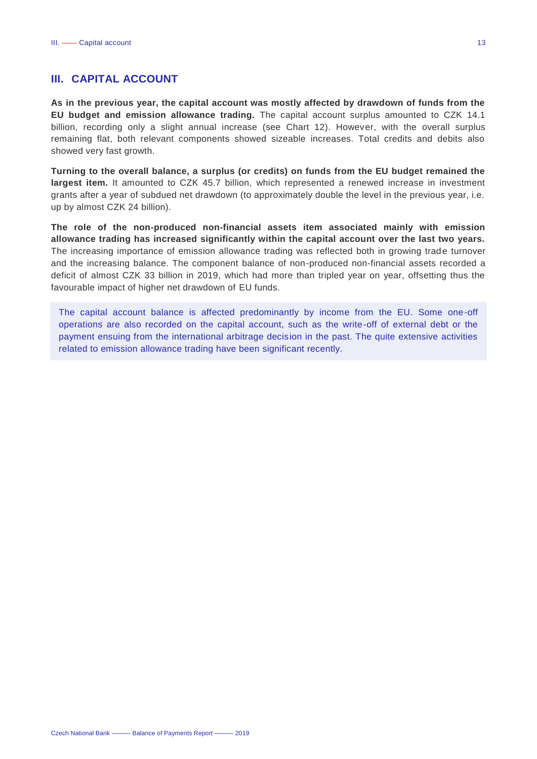#### <span id="page-13-0"></span>**III. CAPITAL ACCOUNT**

**As in the previous year, the capital account was mostly affected by drawdown of funds from the EU budget and emission allowance trading.** The capital account surplus amounted to CZK 14.1 billion, recording only a slight annual increase (see Chart 12). However, with the overall surplus remaining flat, both relevant components showed sizeable increases. Total credits and debits also showed very fast growth.

**Turning to the overall balance, a surplus (or credits) on funds from the EU budget remained the largest item.** It amounted to CZK 45.7 billion, which represented a renewed increase in investment grants after a year of subdued net drawdown (to approximately double the level in the previous year, i.e. up by almost CZK 24 billion).

**The role of the non-produced non-financial assets item associated mainly with emission allowance trading has increased significantly within the capital account over the last two years.**  The increasing importance of emission allowance trading was reflected both in growing trade turnover and the increasing balance. The component balance of non-produced non-financial assets recorded a deficit of almost CZK 33 billion in 2019, which had more than tripled year on year, offsetting thus the favourable impact of higher net drawdown of EU funds.

The capital account balance is affected predominantly by income from the EU. Some one-off operations are also recorded on the capital account, such as the write-off of external debt or the payment ensuing from the international arbitrage decision in the past. The quite extensive activities related to emission allowance trading have been significant recently.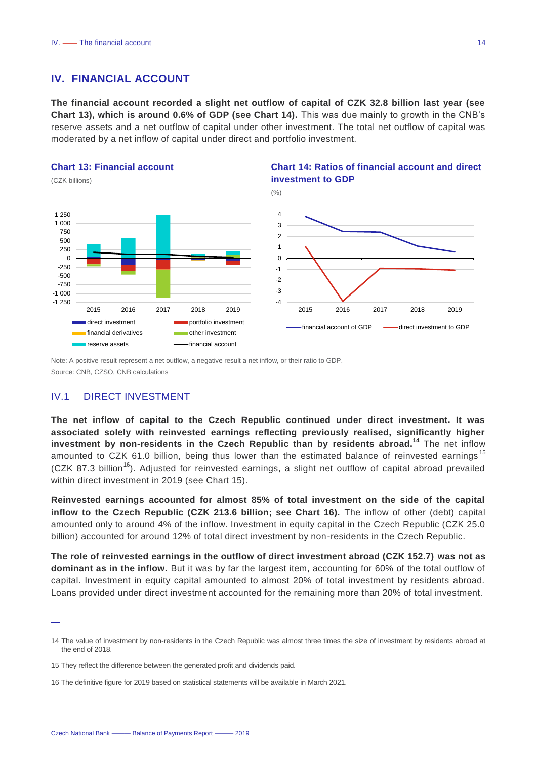#### <span id="page-14-0"></span>**IV. FINANCIAL ACCOUNT**

**The financial account recorded a slight net outflow of capital of CZK 32.8 billion last year (see Chart 13), which is around 0.6% of GDP (see Chart 14).** This was due mainly to growth in the CNB's reserve assets and a net outflow of capital under other investment. The total net outflow of capital was moderated by a net inflow of capital under direct and portfolio investment.

**Chart 14: Ratios of financial account and direct** 

#### **Chart 13: Financial account**



Note: A positive result represent a net outflow, a negative result a net inflow, or their ratio to GDP. Source: CNB, CZSO, CNB calculations

#### <span id="page-14-1"></span>IV.1 DIRECT INVESTMENT

—

**The net inflow of capital to the Czech Republic continued under direct investment. It was associated solely with reinvested earnings reflecting previously realised, significantly higher investment by non-residents in the Czech Republic than by residents abroad.<sup>14</sup>** The net inflow amounted to CZK 61.0 billion, being thus lower than the estimated balance of reinvested earnings<sup>15</sup>  $(CZK 87.3$  billion<sup>16</sup>). Adjusted for reinvested earnings, a slight net outflow of capital abroad prevailed within direct investment in 2019 (see Chart 15).

**Reinvested earnings accounted for almost 85% of total investment on the side of the capital inflow to the Czech Republic (CZK 213.6 billion; see Chart 16).** The inflow of other (debt) capital amounted only to around 4% of the inflow. Investment in equity capital in the Czech Republic (CZK 25.0 billion) accounted for around 12% of total direct investment by non-residents in the Czech Republic.

**The role of reinvested earnings in the outflow of direct investment abroad (CZK 152.7) was not as dominant as in the inflow.** But it was by far the largest item, accounting for 60% of the total outflow of capital. Investment in equity capital amounted to almost 20% of total investment by residents abroad. Loans provided under direct investment accounted for the remaining more than 20% of total investment.

<sup>14</sup> The value of investment by non-residents in the Czech Republic was almost three times the size of investment by residents abroad at the end of 2018.

<sup>15</sup> They reflect the difference between the generated profit and dividends paid.

<sup>16</sup> The definitive figure for 2019 based on statistical statements will be available in March 2021.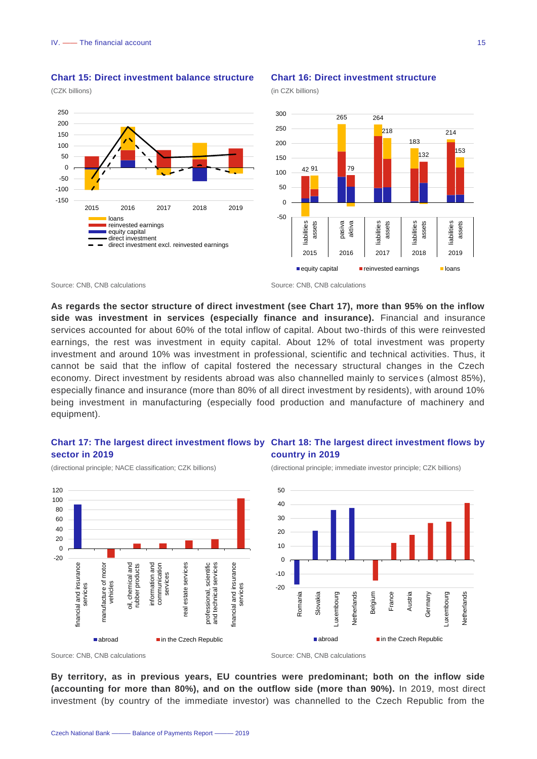



#### **Chart 16: Direct investment structure**

(in CZK billions)



Source: CNB, CNB calculations Source: CNB, CNB calculations

**As regards the sector structure of direct investment (see Chart 17), more than 95% on the inflow side was investment in services (especially finance and insurance).** Financial and insurance services accounted for about 60% of the total inflow of capital. About two-thirds of this were reinvested earnings, the rest was investment in equity capital. About 12% of total investment was property investment and around 10% was investment in professional, scientific and technical activities. Thus, it cannot be said that the inflow of capital fostered the necessary structural changes in the Czech economy. Direct investment by residents abroad was also channelled mainly to services (almost 85%), especially finance and insurance (more than 80% of all direct investment by residents), with around 10% being investment in manufacturing (especially food production and manufacture of machinery and equipment).

#### **Chart 17: The largest direct investment flows by Chart 18: The largest direct investment flows by sector in 2019**

(directional principle; NACE classification; CZK billions)





(directional principle; immediate investor principle; CZK billions)



Source: CNB, CNB calculations **Source: CNB, CNB calculations** Source: CNB, CNB calculations

**By territory, as in previous years, EU countries were predominant; both on the inflow side (accounting for more than 80%), and on the outflow side (more than 90%).** In 2019, most direct investment (by country of the immediate investor) was channelled to the Czech Republic from the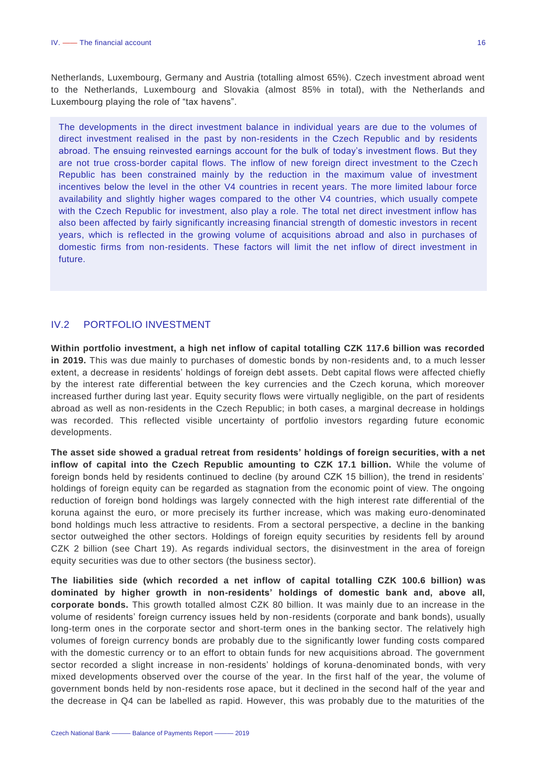Netherlands, Luxembourg, Germany and Austria (totalling almost 65%). Czech investment abroad went to the Netherlands, Luxembourg and Slovakia (almost 85% in total), with the Netherlands and Luxembourg playing the role of "tax havens".

The developments in the direct investment balance in individual years are due to the volumes of direct investment realised in the past by non-residents in the Czech Republic and by residents abroad. The ensuing reinvested earnings account for the bulk of today's investment flows. But they are not true cross-border capital flows. The inflow of new foreign direct investment to the Czech Republic has been constrained mainly by the reduction in the maximum value of investment incentives below the level in the other V4 countries in recent years. The more limited labour force availability and slightly higher wages compared to the other V4 countries, which usually compete with the Czech Republic for investment, also play a role. The total net direct investment inflow has also been affected by fairly significantly increasing financial strength of domestic investors in recent years, which is reflected in the growing volume of acquisitions abroad and also in purchases of domestic firms from non-residents. These factors will limit the net inflow of direct investment in future.

#### <span id="page-16-0"></span>IV.2 PORTFOLIO INVESTMENT

**Within portfolio investment, a high net inflow of capital totalling CZK 117.6 billion was recorded in 2019.** This was due mainly to purchases of domestic bonds by non-residents and, to a much lesser extent, a decrease in residents' holdings of foreign debt assets. Debt capital flows were affected chiefly by the interest rate differential between the key currencies and the Czech koruna, which moreover increased further during last year. Equity security flows were virtually negligible, on the part of residents abroad as well as non-residents in the Czech Republic; in both cases, a marginal decrease in holdings was recorded. This reflected visible uncertainty of portfolio investors regarding future economic developments.

**The asset side showed a gradual retreat from residents' holdings of foreign securities, with a net inflow of capital into the Czech Republic amounting to CZK 17.1 billion.** While the volume of foreign bonds held by residents continued to decline (by around CZK 15 billion), the trend in residents' holdings of foreign equity can be regarded as stagnation from the economic point of view. The ongoing reduction of foreign bond holdings was largely connected with the high interest rate differential of the koruna against the euro, or more precisely its further increase, which was making euro-denominated bond holdings much less attractive to residents. From a sectoral perspective, a decline in the banking sector outweighed the other sectors. Holdings of foreign equity securities by residents fell by around CZK 2 billion (see Chart 19). As regards individual sectors, the disinvestment in the area of foreign equity securities was due to other sectors (the business sector).

**The liabilities side (which recorded a net inflow of capital totalling CZK 100.6 billion) was dominated by higher growth in non-residents' holdings of domestic bank and, above all, corporate bonds.** This growth totalled almost CZK 80 billion. It was mainly due to an increase in the volume of residents' foreign currency issues held by non-residents (corporate and bank bonds), usually long-term ones in the corporate sector and short-term ones in the banking sector. The relatively high volumes of foreign currency bonds are probably due to the significantly lower funding costs compared with the domestic currency or to an effort to obtain funds for new acquisitions abroad. The government sector recorded a slight increase in non-residents' holdings of koruna-denominated bonds, with very mixed developments observed over the course of the year. In the first half of the year, the volume of government bonds held by non-residents rose apace, but it declined in the second half of the year and the decrease in Q4 can be labelled as rapid. However, this was probably due to the maturities of the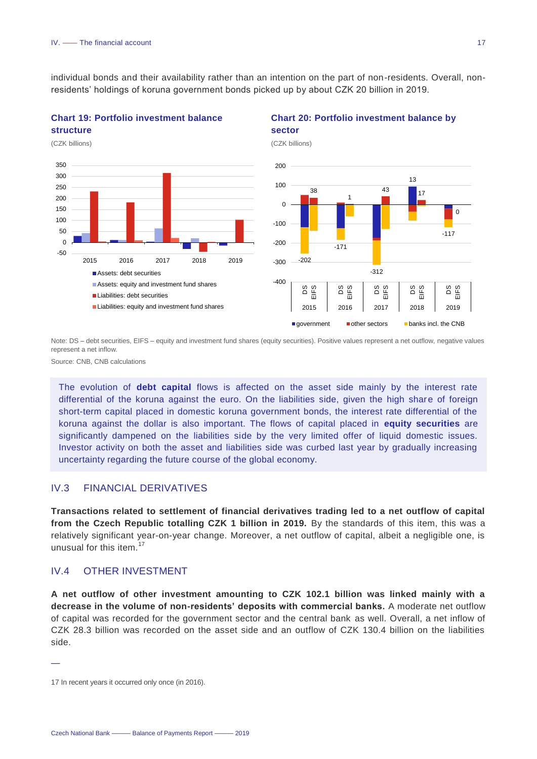individual bonds and their availability rather than an intention on the part of non-residents. Overall, nonresidents' holdings of koruna government bonds picked up by about CZK 20 billion in 2019.





#### **Chart 20: Portfolio investment balance by sector**



Note: DS – debt securities, EIFS – equity and investment fund shares (equity securities). Positive values represent a net outflow, negative values represent a net inflow.

Source: CNB, CNB calculations

The evolution of **debt capital** flows is affected on the asset side mainly by the interest rate differential of the koruna against the euro. On the liabilities side, given the high share of foreign short-term capital placed in domestic koruna government bonds, the interest rate differential of the koruna against the dollar is also important. The flows of capital placed in **equity securities** are significantly dampened on the liabilities side by the very limited offer of liquid domestic issues. Investor activity on both the asset and liabilities side was curbed last year by gradually increasing uncertainty regarding the future course of the global economy.

#### <span id="page-17-0"></span>IV.3 FINANCIAL DERIVATIVES

**Transactions related to settlement of financial derivatives trading led to a net outflow of capital from the Czech Republic totalling CZK 1 billion in 2019.** By the standards of this item, this was a relatively significant year-on-year change. Moreover, a net outflow of capital, albeit a negligible one, is unusual for this item.<sup>17</sup>

#### <span id="page-17-1"></span>IV.4 OTHER INVESTMENT

**A net outflow of other investment amounting to CZK 102.1 billion was linked mainly with a decrease in the volume of non-residents' deposits with commercial banks.** A moderate net outflow of capital was recorded for the government sector and the central bank as well. Overall, a net inflow of CZK 28.3 billion was recorded on the asset side and an outflow of CZK 130.4 billion on the liabilities side.

<sup>17</sup> In recent years it occurred only once (in 2016).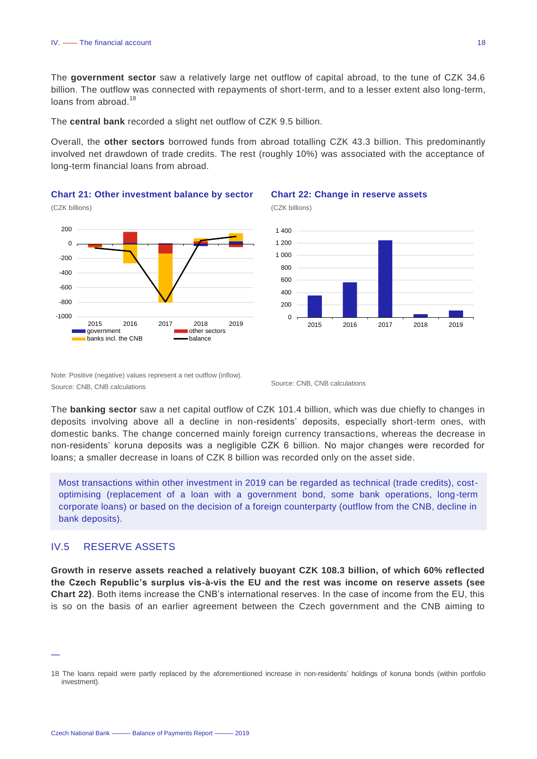The **government sector** saw a relatively large net outflow of capital abroad, to the tune of CZK 34.6 billion. The outflow was connected with repayments of short-term, and to a lesser extent also long-term, loans from abroad.<sup>18</sup>

The **central bank** recorded a slight net outflow of CZK 9.5 billion.

Overall, the **other sectors** borrowed funds from abroad totalling CZK 43.3 billion. This predominantly involved net drawdown of trade credits. The rest (roughly 10%) was associated with the acceptance of long-term financial loans from abroad.

#### **Chart 21: Other investment balance by sector**





#### **Chart 22: Change in reserve assets**

(CZK billions)



Note: Positive (negative) values represent a net outflow (inflow). Source: CNB, CNB calculations Source: CNB, CNB calculations

The **banking sector** saw a net capital outflow of CZK 101.4 billion, which was due chiefly to changes in deposits involving above all a decline in non-residents' deposits, especially short-term ones, with domestic banks. The change concerned mainly foreign currency transactions, whereas the decrease in non-residents' koruna deposits was a negligible CZK 6 billion. No major changes were recorded for loans; a smaller decrease in loans of CZK 8 billion was recorded only on the asset side.

Most transactions within other investment in 2019 can be regarded as technical (trade credits), costoptimising (replacement of a loan with a government bond, some bank operations, long-term corporate loans) or based on the decision of a foreign counterparty (outflow from the CNB, decline in bank deposits).

#### <span id="page-18-0"></span>IV.5 RESERVE ASSETS

—

**Growth in reserve assets reached a relatively buoyant CZK 108.3 billion, of which 60% reflected the Czech Republic's surplus vis-à-vis the EU and the rest was income on reserve assets (see Chart 22)**. Both items increase the CNB's international reserves. In the case of income from the EU, this is so on the basis of an earlier agreement between the Czech government and the CNB aiming to

<sup>18</sup> The loans repaid were partly replaced by the aforementioned increase in non-residents' holdings of koruna bonds (within portfolio investment).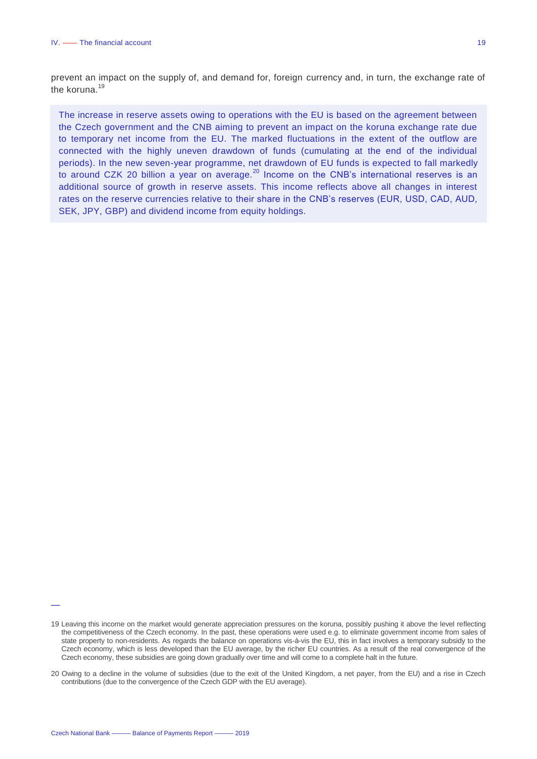prevent an impact on the supply of, and demand for, foreign currency and, in turn, the exchange rate of the koruna.<sup>19</sup>

The increase in reserve assets owing to operations with the EU is based on the agreement between the Czech government and the CNB aiming to prevent an impact on the koruna exchange rate due to temporary net income from the EU. The marked fluctuations in the extent of the outflow are connected with the highly uneven drawdown of funds (cumulating at the end of the individual periods). In the new seven-year programme, net drawdown of EU funds is expected to fall markedly to around CZK 20 billion a year on average.<sup>20</sup> Income on the CNB's international reserves is an additional source of growth in reserve assets. This income reflects above all changes in interest rates on the reserve currencies relative to their share in the CNB's reserves (EUR, USD, CAD, AUD, SEK, JPY, GBP) and dividend income from equity holdings.

<sup>19</sup> Leaving this income on the market would generate appreciation pressures on the koruna, possibly pushing it above the level reflecting the competitiveness of the Czech economy. In the past, these operations were used e.g. to eliminate government income from sales of state property to non-residents. As regards the balance on operations vis-à-vis the EU, this in fact involves a temporary subsidy to the Czech economy, which is less developed than the EU average, by the richer EU countries. As a result of the real convergence of the Czech economy, these subsidies are going down gradually over time and will come to a complete halt in the future.

<sup>20</sup> Owing to a decline in the volume of subsidies (due to the exit of the United Kingdom, a net payer, from the EU) and a rise in Czech contributions (due to the convergence of the Czech GDP with the EU average).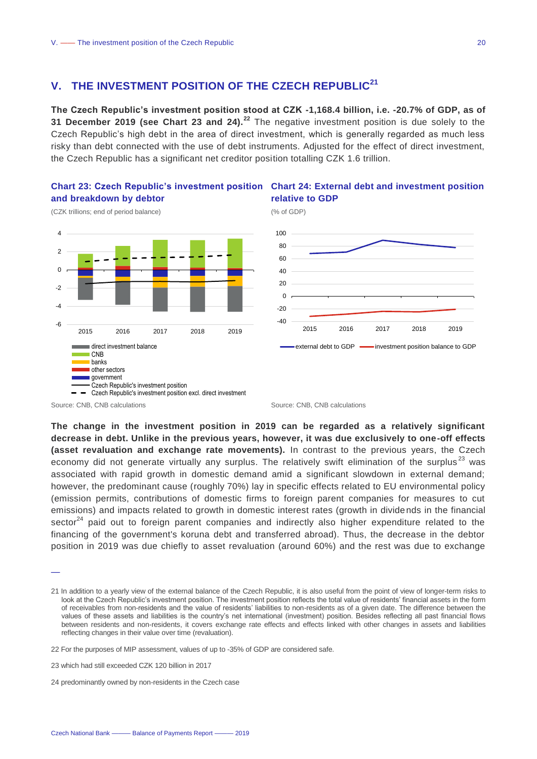#### <span id="page-20-0"></span>**V. THE INVESTMENT POSITION OF THE CZECH REPUBLIC<sup>21</sup>**

**The Czech Republic's investment position stood at CZK -1,168.4 billion, i.e. -20.7% of GDP, as of 31 December 2019 (see Chart 23 and 24).<sup>22</sup>** The negative investment position is due solely to the Czech Republic's high debt in the area of direct investment, which is generally regarded as much less risky than debt connected with the use of debt instruments. Adjusted for the effect of direct investment, the Czech Republic has a significant net creditor position totalling CZK 1.6 trillion.

### **and breakdown by debtor**



#### **Chart 23: Czech Republic's investment position Chart 24: External debt and investment position relative to GDP**

(% of GDP)



—

(CZK trillions; end of period balance)

**The change in the investment position in 2019 can be regarded as a relatively significant decrease in debt. Unlike in the previous years, however, it was due exclusively to one-off effects (asset revaluation and exchange rate movements).** In contrast to the previous years, the Czech economy did not generate virtually any surplus. The relatively swift elimination of the surplus<sup>23</sup> was associated with rapid growth in domestic demand amid a significant slowdown in external demand; however, the predominant cause (roughly 70%) lay in specific effects related to EU environmental policy (emission permits, contributions of domestic firms to foreign parent companies for measures to cut emissions) and impacts related to growth in domestic interest rates (growth in dividends in the financial sector $^{24}$  paid out to foreign parent companies and indirectly also higher expenditure related to the financing of the government's koruna debt and transferred abroad). Thus, the decrease in the debtor position in 2019 was due chiefly to asset revaluation (around 60%) and the rest was due to exchange

Source: CNB, CNB calculations **Source: CNB, CNB calculations** Source: CNB, CNB calculations

<sup>21</sup> In addition to a yearly view of the external balance of the Czech Republic, it is also useful from the point of view of longer-term risks to look at the Czech Republic's investment position. The investment position reflects the total value of residents' financial assets in the form of receivables from non-residents and the value of residents' liabilities to non-residents as of a given date. The difference between the values of these assets and liabilities is the country's net international (investment) position. Besides reflecting all past financial flows between residents and non-residents, it covers exchange rate effects and effects linked with other changes in assets and liabilities reflecting changes in their value over time (revaluation).

<sup>22</sup> For the purposes of MIP assessment, values of up to -35% of GDP are considered safe.

<sup>23</sup> which had still exceeded CZK 120 billion in 2017

<sup>24</sup> predominantly owned by non-residents in the Czech case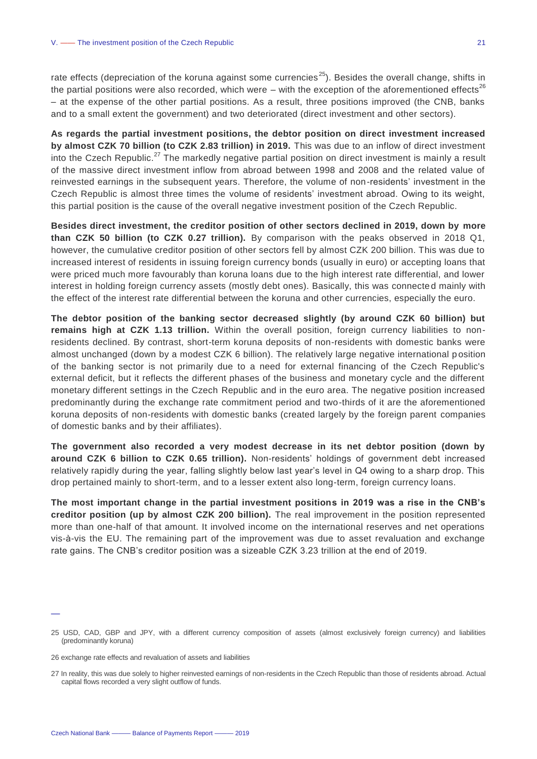rate effects (depreciation of the koruna against some currencies<sup>25</sup>). Besides the overall change, shifts in the partial positions were also recorded, which were – with the exception of the aforementioned effects<sup>26</sup> – at the expense of the other partial positions. As a result, three positions improved (the CNB, banks and to a small extent the government) and two deteriorated (direct investment and other sectors).

**As regards the partial investment positions, the debtor position on direct investment increased by almost CZK 70 billion (to CZK 2.83 trillion) in 2019.** This was due to an inflow of direct investment into the Czech Republic.<sup>27</sup> The markedly negative partial position on direct investment is mainly a result of the massive direct investment inflow from abroad between 1998 and 2008 and the related value of reinvested earnings in the subsequent years. Therefore, the volume of non-residents' investment in the Czech Republic is almost three times the volume of residents' investment abroad. Owing to its weight, this partial position is the cause of the overall negative investment position of the Czech Republic.

**Besides direct investment, the creditor position of other sectors declined in 2019, down by more than CZK 50 billion (to CZK 0.27 trillion).** By comparison with the peaks observed in 2018 Q1, however, the cumulative creditor position of other sectors fell by almost CZK 200 billion. This was due to increased interest of residents in issuing foreign currency bonds (usually in euro) or accepting loans that were priced much more favourably than koruna loans due to the high interest rate differential, and lower interest in holding foreign currency assets (mostly debt ones). Basically, this was connecte d mainly with the effect of the interest rate differential between the koruna and other currencies, especially the euro.

**The debtor position of the banking sector decreased slightly (by around CZK 60 billion) but remains high at CZK 1.13 trillion.** Within the overall position, foreign currency liabilities to nonresidents declined. By contrast, short-term koruna deposits of non-residents with domestic banks were almost unchanged (down by a modest CZK 6 billion). The relatively large negative international p osition of the banking sector is not primarily due to a need for external financing of the Czech Republic's external deficit, but it reflects the different phases of the business and monetary cycle and the different monetary different settings in the Czech Republic and in the euro area. The negative position increased predominantly during the exchange rate commitment period and two-thirds of it are the aforementioned koruna deposits of non-residents with domestic banks (created largely by the foreign parent companies of domestic banks and by their affiliates).

**The government also recorded a very modest decrease in its net debtor position (down by around CZK 6 billion to CZK 0.65 trillion).** Non-residents' holdings of government debt increased relatively rapidly during the year, falling slightly below last year's level in Q4 owing to a sharp drop. This drop pertained mainly to short-term, and to a lesser extent also long-term, foreign currency loans.

**The most important change in the partial investment positions in 2019 was a rise in the CNB's creditor position (up by almost CZK 200 billion).** The real improvement in the position represented more than one-half of that amount. It involved income on the international reserves and net operations vis-à-vis the EU. The remaining part of the improvement was due to asset revaluation and exchange rate gains. The CNB's creditor position was a sizeable CZK 3.23 trillion at the end of 2019.

<sup>25</sup> USD, CAD, GBP and JPY, with a different currency composition of assets (almost exclusively foreign currency) and liabilities (predominantly koruna)

<sup>26</sup> exchange rate effects and revaluation of assets and liabilities

<sup>27</sup> In reality, this was due solely to higher reinvested earnings of non-residents in the Czech Republic than those of residents abroad. Actual capital flows recorded a very slight outflow of funds.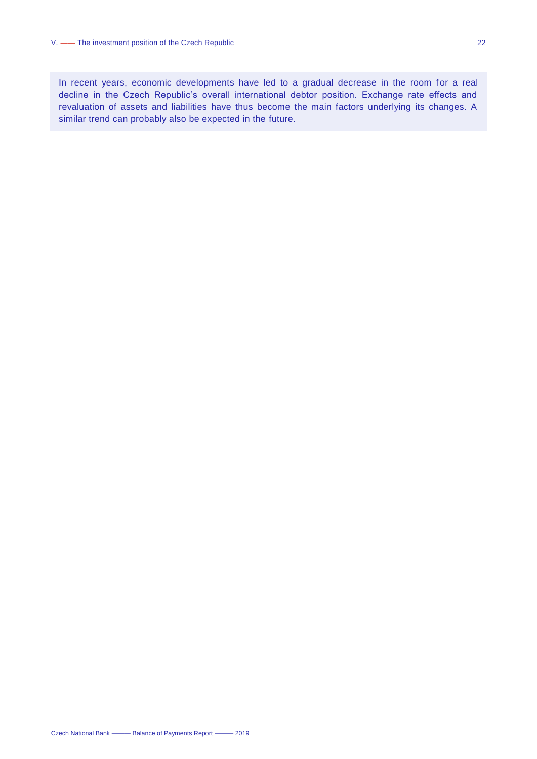In recent years, economic developments have led to a gradual decrease in the room for a real decline in the Czech Republic's overall international debtor position. Exchange rate effects and revaluation of assets and liabilities have thus become the main factors underlying its changes. A similar trend can probably also be expected in the future.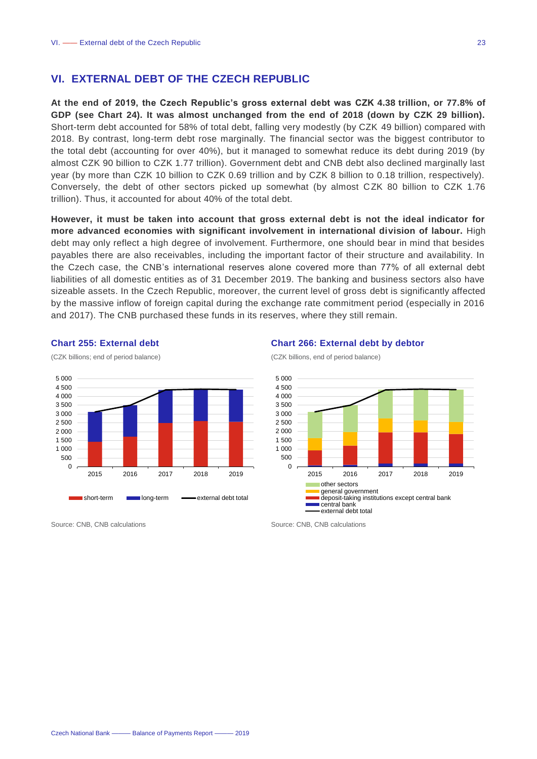#### <span id="page-23-0"></span>**VI. EXTERNAL DEBT OF THE CZECH REPUBLIC**

**At the end of 2019, the Czech Republic's gross external debt was CZK 4.38 trillion, or 77.8% of GDP (see Chart 24). It was almost unchanged from the end of 2018 (down by CZK 29 billion).** Short-term debt accounted for 58% of total debt, falling very modestly (by CZK 49 billion) compared with 2018. By contrast, long-term debt rose marginally. The financial sector was the biggest contributor to the total debt (accounting for over 40%), but it managed to somewhat reduce its debt during 2019 (by almost CZK 90 billion to CZK 1.77 trillion). Government debt and CNB debt also declined marginally last year (by more than CZK 10 billion to CZK 0.69 trillion and by CZK 8 billion to 0.18 trillion, respectively). Conversely, the debt of other sectors picked up somewhat (by almost CZK 80 billion to CZK 1.76 trillion). Thus, it accounted for about 40% of the total debt.

**However, it must be taken into account that gross external debt is not the ideal indicator for more advanced economies with significant involvement in international division of labour.** High debt may only reflect a high degree of involvement. Furthermore, one should bear in mind that besides payables there are also receivables, including the important factor of their structure and availability. In the Czech case, the CNB's international reserves alone covered more than 77% of all external debt liabilities of all domestic entities as of 31 December 2019. The banking and business sectors also have sizeable assets. In the Czech Republic, moreover, the current level of gross debt is significantly affected by the massive inflow of foreign capital during the exchange rate commitment period (especially in 2016 and 2017). The CNB purchased these funds in its reserves, where they still remain.

2 000



**Chart 255: External debt** (CZK billions; end of period balance)

#### **Chart 266: External debt by debtor**

(CZK billions, end of period balance)





Source: CNB, CNB calculations Source: CNB, CNB calculations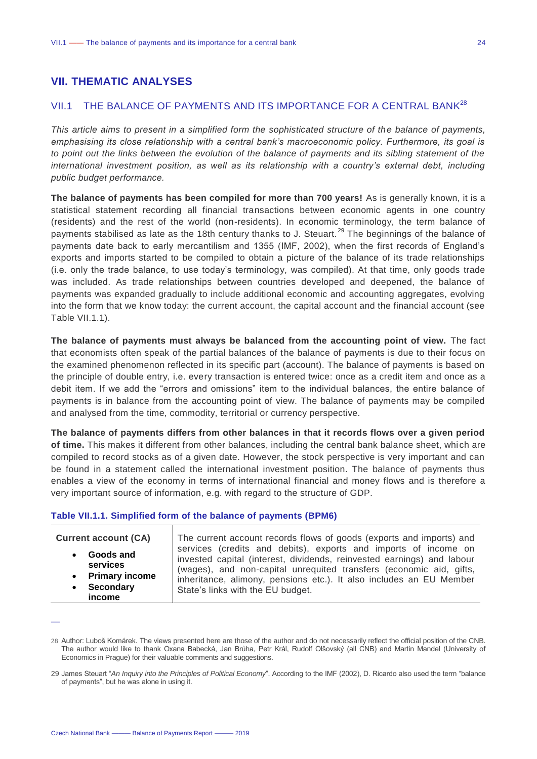#### <span id="page-24-0"></span>**VII. THEMATIC ANALYSES**

#### <span id="page-24-1"></span>VII.1 THE BALANCE OF PAYMENTS AND ITS IMPORTANCE FOR A CENTRAL BANK<sup>28</sup>

*This article aims to present in a simplified form the sophisticated structure of the balance of payments, emphasising its close relationship with a central bank's macroeconomic policy. Furthermore, its goal is to point out the links between the evolution of the balance of payments and its sibling statement of the international investment position, as well as its relationship with a country's external debt, including public budget performance.* 

**The balance of payments has been compiled for more than 700 years!** As is generally known, it is a statistical statement recording all financial transactions between economic agents in one country (residents) and the rest of the world (non-residents). In economic terminology, the term balance of payments stabilised as late as the 18th century thanks to J. Steuart.<sup>29</sup> The beginnings of the balance of payments date back to early mercantilism and 1355 (IMF, 2002), when the first records of England's exports and imports started to be compiled to obtain a picture of the balance of its trade relationships (i.e. only the trade balance, to use today's terminology, was compiled). At that time, only goods trade was included. As trade relationships between countries developed and deepened, the balance of payments was expanded gradually to include additional economic and accounting aggregates, evolving into the form that we know today: the current account, the capital account and the financial account (see Table VII.1.1).

**The balance of payments must always be balanced from the accounting point of view.** The fact that economists often speak of the partial balances of the balance of payments is due to their focus on the examined phenomenon reflected in its specific part (account). The balance of payments is based on the principle of double entry, i.e. every transaction is entered twice: once as a credit item and once as a debit item. If we add the "errors and omissions" item to the individual balances, the entire balance of payments is in balance from the accounting point of view. The balance of payments may be compiled and analysed from the time, commodity, territorial or currency perspective.

**The balance of payments differs from other balances in that it records flows over a given period of time.** This makes it different from other balances, including the central bank balance sheet, whi ch are compiled to record stocks as of a given date. However, the stock perspective is very important and can be found in a statement called the international investment position. The balance of payments thus enables a view of the economy in terms of international financial and money flows and is therefore a very important source of information, e.g. with regard to the structure of GDP.

#### **Table VII.1.1. Simplified form of the balance of payments (BPM6)**

| <b>Current account (CA)</b> | The current account records flows of goods (exports and imports) and   |
|-----------------------------|------------------------------------------------------------------------|
| Goods and                   | services (credits and debits), exports and imports of income on        |
| services                    | invested capital (interest, dividends, reinvested earnings) and labour |
| • Primary income            | (wages), and non-capital unrequited transfers (economic aid, gifts,    |
| • Secondary                 | inheritance, alimony, pensions etc.). It also includes an EU Member    |
| income                      | State's links with the EU budget.                                      |

<sup>—</sup>

<sup>28</sup> Author: Luboš Komárek. The views presented here are those of the author and do not necessarily reflect the official position of the CNB. The author would like to thank Oxana Babecká, Jan Brůha, Petr Král, Rudolf Olšovský (all CNB) and Martin Mandel (University of Economics in Prague) for their valuable comments and suggestions.

<sup>29</sup> James Steuart "*An Inquiry into the Principles of Political Economy*". According to the IMF (2002), D. Ricardo also used the term "balance of payments", but he was alone in using it.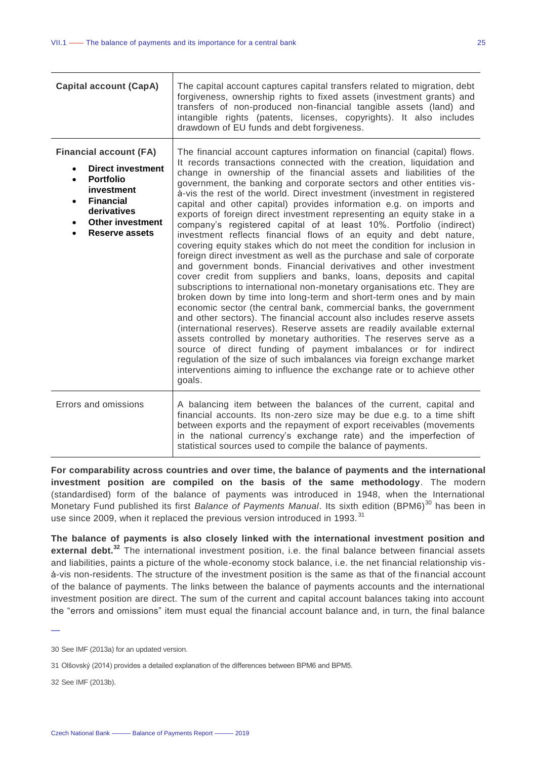| <b>Capital account (CapA)</b>                                                                                                                                                                   | The capital account captures capital transfers related to migration, debt<br>forgiveness, ownership rights to fixed assets (investment grants) and<br>transfers of non-produced non-financial tangible assets (land) and<br>intangible rights (patents, licenses, copyrights). It also includes<br>drawdown of EU funds and debt forgiveness.                                                                                                                                                                                                                                                                                                                                                                                                                                                                                                                                                                                                                                                                                                                                                                                                                                                                                                                                                                                                                                                                                                                                                                                                                                                                                                              |
|-------------------------------------------------------------------------------------------------------------------------------------------------------------------------------------------------|------------------------------------------------------------------------------------------------------------------------------------------------------------------------------------------------------------------------------------------------------------------------------------------------------------------------------------------------------------------------------------------------------------------------------------------------------------------------------------------------------------------------------------------------------------------------------------------------------------------------------------------------------------------------------------------------------------------------------------------------------------------------------------------------------------------------------------------------------------------------------------------------------------------------------------------------------------------------------------------------------------------------------------------------------------------------------------------------------------------------------------------------------------------------------------------------------------------------------------------------------------------------------------------------------------------------------------------------------------------------------------------------------------------------------------------------------------------------------------------------------------------------------------------------------------------------------------------------------------------------------------------------------------|
| <b>Financial account (FA)</b><br><b>Direct investment</b><br><b>Portfolio</b><br>investment<br><b>Financial</b><br>$\bullet$<br>derivatives<br><b>Other investment</b><br><b>Reserve assets</b> | The financial account captures information on financial (capital) flows.<br>It records transactions connected with the creation, liquidation and<br>change in ownership of the financial assets and liabilities of the<br>government, the banking and corporate sectors and other entities vis-<br>à-vis the rest of the world. Direct investment (investment in registered<br>capital and other capital) provides information e.g. on imports and<br>exports of foreign direct investment representing an equity stake in a<br>company's registered capital of at least 10%. Portfolio (indirect)<br>investment reflects financial flows of an equity and debt nature,<br>covering equity stakes which do not meet the condition for inclusion in<br>foreign direct investment as well as the purchase and sale of corporate<br>and government bonds. Financial derivatives and other investment<br>cover credit from suppliers and banks, loans, deposits and capital<br>subscriptions to international non-monetary organisations etc. They are<br>broken down by time into long-term and short-term ones and by main<br>economic sector (the central bank, commercial banks, the government<br>and other sectors). The financial account also includes reserve assets<br>(international reserves). Reserve assets are readily available external<br>assets controlled by monetary authorities. The reserves serve as a<br>source of direct funding of payment imbalances or for indirect<br>regulation of the size of such imbalances via foreign exchange market<br>interventions aiming to influence the exchange rate or to achieve other<br>goals. |
| Errors and omissions                                                                                                                                                                            | A balancing item between the balances of the current, capital and<br>financial accounts. Its non-zero size may be due e.g. to a time shift<br>between exports and the repayment of export receivables (movements<br>in the national currency's exchange rate) and the imperfection of                                                                                                                                                                                                                                                                                                                                                                                                                                                                                                                                                                                                                                                                                                                                                                                                                                                                                                                                                                                                                                                                                                                                                                                                                                                                                                                                                                      |

**For comparability across countries and over time, the balance of payments and the international investment position are compiled on the basis of the same methodology**. The modern (standardised) form of the balance of payments was introduced in 1948, when the International Monetary Fund published its first *Balance of Payments Manual*. Its sixth edition (BPM6)<sup>30</sup> has been in use since 2009, when it replaced the previous version introduced in 1993.<sup>31</sup>

statistical sources used to compile the balance of payments.

**The balance of payments is also closely linked with the international investment position and external debt.<sup>32</sup>** The international investment position, i.e. the final balance between financial assets and liabilities, paints a picture of the whole-economy stock balance, i.e. the net financial relationship visà-vis non-residents. The structure of the investment position is the same as that of the financial account of the balance of payments. The links between the balance of payments accounts and the international investment position are direct. The sum of the current and capital account balances taking into account the "errors and omissions" item must equal the financial account balance and, in turn, the final balance

32 See IMF (2013b).

<sup>30</sup> See IMF (2013a) for an updated version.

<sup>31</sup> Olšovský (2014) provides a detailed explanation of the differences between BPM6 and BPM5.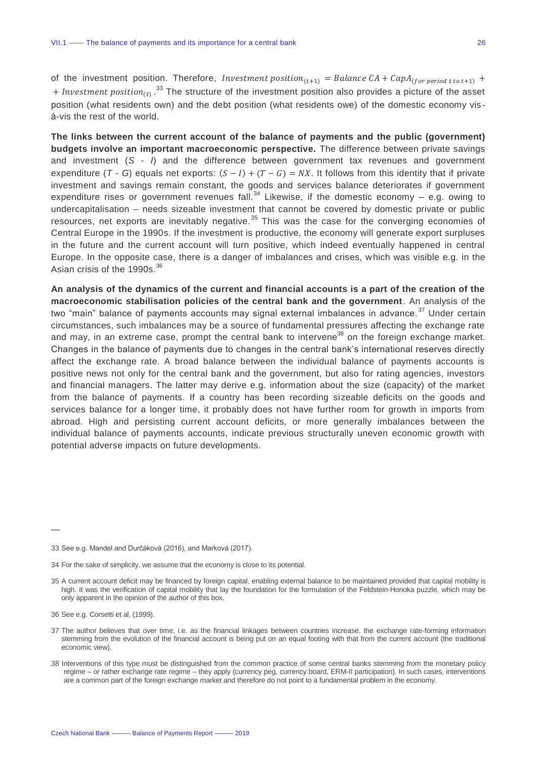of the investment position. Therefore, *Investment position*<sub>(t+1)</sub> = Balance CA + CapA<sub>(for period t to t+1)</sub> +

+ Investment position<sub>(t)</sub>  $^{33}$  The structure of the investment position also provides a picture of the asset position (what residents own) and the debt position (what residents owe) of the domestic economy vis à-vis the rest of the world.

**The links between the current account of the balance of payments and the public (government) budgets involve an important macroeconomic perspective.** The difference between private savings and investment (*S - I*) and the difference between government tax revenues and government expenditure (*T* - *G*) equals net exports:  $(S - I) + (T - G) = NX$ . It follows from this identity that if private investment and savings remain constant, the goods and services balance deteriorates if government expenditure rises or government revenues fall.<sup>34</sup> Likewise, if the domestic economy – e.g. owing to undercapitalisation – needs sizeable investment that cannot be covered by domestic private or public resources, net exports are inevitably negative.<sup>35</sup> This was the case for the converging economies of Central Europe in the 1990s. If the investment is productive, the economy will generate export surpluses in the future and the current account will turn positive, which indeed eventually happened in central Europe. In the opposite case, there is a danger of imbalances and crises, which was visible e.g. in the Asian crisis of the 1990s. $^{36}$ 

**An analysis of the dynamics of the current and financial accounts is a part of the creation of the macroeconomic stabilisation policies of the central bank and the government**. An analysis of the two "main" balance of payments accounts may signal external imbalances in advance.<sup>37</sup> Under certain circumstances, such imbalances may be a source of fundamental pressures affecting the exchange rate and may, in an extreme case, prompt the central bank to intervene<sup>38</sup> on the foreign exchange market. Changes in the balance of payments due to changes in the central bank's international reserves directly affect the exchange rate. A broad balance between the individual balance of payments accounts is positive news not only for the central bank and the government, but also for rating agencies, investors and financial managers. The latter may derive e.g. information about the size (capacity) of the market from the balance of payments. If a country has been recording sizeable deficits on the goods and services balance for a longer time, it probably does not have further room for growth in imports from abroad. High and persisting current account deficits, or more generally imbalances between the individual balance of payments accounts, indicate previous structurally uneven economic growth with potential adverse impacts on future developments.

- 37 The author believes that over time, i.e. as the financial linkages between countries increase, the exchange rate-forming information stemming from the evolution of the financial account is being put on an equal footing with that from the current account (the traditional economic view).
- 38 Interventions of this type must be distinguished from the common practice of some central banks stemming from the monetary policy regime – or rather exchange rate regime – they apply (currency peg, currency board, ERM-II participation). In such cases, interventions are a common part of the foreign exchange market and therefore do not point to a fundamental problem in the economy.

<sup>33</sup> See e.g. Mandel and Durčáková (2016), and Marková (2017).

<sup>34</sup> For the sake of simplicity, we assume that the economy is close to its potential.

<sup>35</sup> A current account deficit may be financed by foreign capital, enabling external balance to be maintained provided that capital mobility is high. It was the verification of capital mobility that lay the foundation for the formulation of the Feldstein-Horioka puzzle, which may be only apparent in the opinion of the author of this box.

<sup>36</sup> See e.g. Corsetti et al. (1999).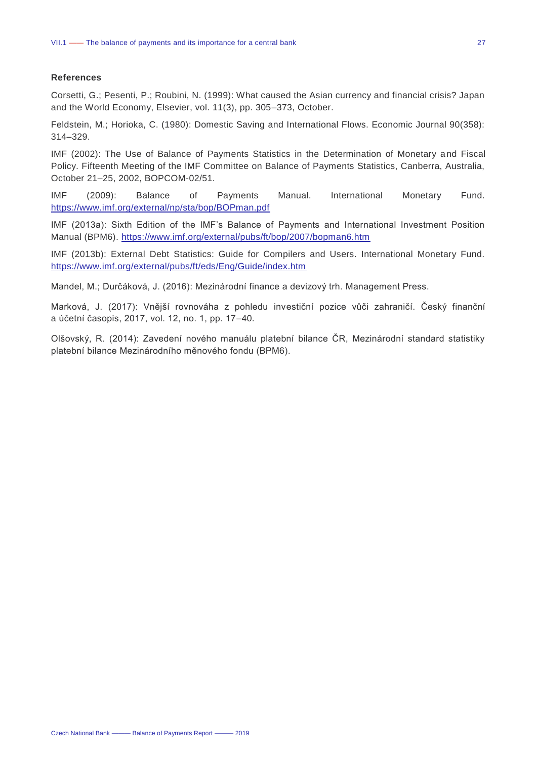#### **References**

Corsetti, G.; Pesenti, P.; Roubini, N. (1999): What caused the Asian currency and financial crisis? Japan and the World Economy, Elsevier, vol. 11(3), pp. 305–373, October.

Feldstein, M.; Horioka, C. (1980): Domestic Saving and International Flows. Economic Journal 90(358): 314–329.

IMF (2002): The Use of Balance of Payments Statistics in the Determination of Monetary and Fiscal Policy. Fifteenth Meeting of the IMF Committee on Balance of Payments Statistics, Canberra, Australia, October 21–25, 2002, BOPCOM-02/51.

IMF (2009): Balance of Payments Manual. International Monetary Fund. <https://www.imf.org/external/np/sta/bop/BOPman.pdf>

IMF (2013a): Sixth Edition of the IMF's Balance of Payments and International Investment Position Manual (BPM6).<https://www.imf.org/external/pubs/ft/bop/2007/bopman6.htm>

IMF (2013b): External Debt Statistics: Guide for Compilers and Users. International Monetary Fund. <https://www.imf.org/external/pubs/ft/eds/Eng/Guide/index.htm>

Mandel, M.; Durčáková, J. (2016): Mezinárodní finance a devizový trh. Management Press.

Marková, J. (2017): Vnější rovnováha z pohledu investiční pozice vůči zahraničí. Český finanční a účetní časopis, 2017, vol. 12, no. 1, pp. 17–40.

Olšovský, R. (2014): Zavedení nového manuálu platební bilance ČR, Mezinárodní standard statistiky platební bilance Mezinárodního měnového fondu (BPM6).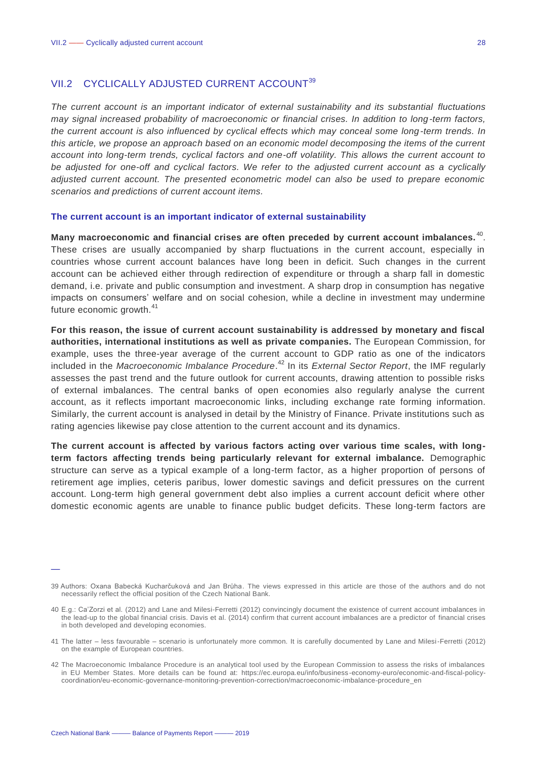#### <span id="page-28-0"></span>VII.2 CYCLICALLY ADJUSTED CURRENT ACCOUNT<sup>39</sup>

*The current account is an important indicator of external sustainability and its substantial fluctuations may signal increased probability of macroeconomic or financial crises. In addition to long-term factors, the current account is also influenced by cyclical effects which may conceal some long-term trends. In this article, we propose an approach based on an economic model decomposing the items of the current account into long-term trends, cyclical factors and one-off volatility. This allows the current account to be adjusted for one-off and cyclical factors. We refer to the adjusted current account as a cyclically adjusted current account. The presented econometric model can also be used to prepare economic scenarios and predictions of current account items.*

#### **The current account is an important indicator of external sustainability**

Many macroeconomic and financial crises are often preceded by current account imbalances.<sup>40</sup>. These crises are usually accompanied by sharp fluctuations in the current account, especially in countries whose current account balances have long been in deficit. Such changes in the current account can be achieved either through redirection of expenditure or through a sharp fall in domestic demand, i.e. private and public consumption and investment. A sharp drop in consumption has negative impacts on consumers' welfare and on social cohesion, while a decline in investment may undermine future economic growth.<sup>41</sup>

**For this reason, the issue of current account sustainability is addressed by monetary and fiscal authorities, international institutions as well as private companies.** The European Commission, for example, uses the three-year average of the current account to GDP ratio as one of the indicators included in the *Macroeconomic Imbalance Procedure*. <sup>42</sup> In its *External Sector Report*, the IMF regularly assesses the past trend and the future outlook for current accounts, drawing attention to possible risks of external imbalances. The central banks of open economies also regularly analyse the current account, as it reflects important macroeconomic links, including exchange rate forming information. Similarly, the current account is analysed in detail by the Ministry of Finance. Private institutions such as rating agencies likewise pay close attention to the current account and its dynamics.

**The current account is affected by various factors acting over various time scales, with longterm factors affecting trends being particularly relevant for external imbalance.** Demographic structure can serve as a typical example of a long-term factor, as a higher proportion of persons of retirement age implies, ceteris paribus, lower domestic savings and deficit pressures on the current account. Long-term high general government debt also implies a current account deficit where other domestic economic agents are unable to finance public budget deficits. These long-term factors are

<sup>39</sup> Authors: Oxana Babecká Kucharčuková and Jan Brůha. The views expressed in this article are those of the authors and do not necessarily reflect the official position of the Czech National Bank.

<sup>40</sup> E.g.: Ca'Zorzi et al. (2012) and Lane and Milesi-Ferretti (2012) convincingly document the existence of current account imbalances in the lead-up to the global financial crisis. Davis et al. (2014) confirm that current account imbalances are a predictor of financial crises in both developed and developing economies.

<sup>41</sup> The latter – less favourable – scenario is unfortunately more common. It is carefully documented by Lane and Milesi-Ferretti (2012) on the example of European countries.

<sup>42</sup> The Macroeconomic Imbalance Procedure is an analytical tool used by the European Commission to assess the risks of imbalances in EU Member States. More details can be found at: https://ec.europa.eu/info/business -economy-euro/economic-and-fiscal-policycoordination/eu-economic-governance-monitoring-prevention-correction/macroeconomic-imbalance-procedure\_en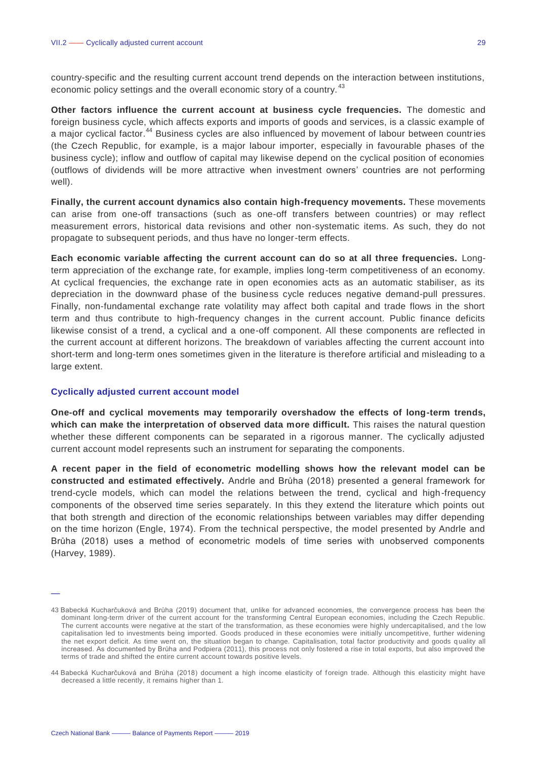country-specific and the resulting current account trend depends on the interaction between institutions, economic policy settings and the overall economic story of a country.<sup>43</sup>

**Other factors influence the current account at business cycle frequencies.** The domestic and foreign business cycle, which affects exports and imports of goods and services, is a classic example of a maior cyclical factor.<sup>44</sup> Business cycles are also influenced by movement of labour between countries (the Czech Republic, for example, is a major labour importer, especially in favourable phases of the business cycle); inflow and outflow of capital may likewise depend on the cyclical position of economies (outflows of dividends will be more attractive when investment owners' countries are not performing well).

**Finally, the current account dynamics also contain high-frequency movements.** These movements can arise from one-off transactions (such as one-off transfers between countries) or may reflect measurement errors, historical data revisions and other non-systematic items. As such, they do not propagate to subsequent periods, and thus have no longer-term effects.

**Each economic variable affecting the current account can do so at all three frequencies.** Longterm appreciation of the exchange rate, for example, implies long-term competitiveness of an economy. At cyclical frequencies, the exchange rate in open economies acts as an automatic stabiliser, as its depreciation in the downward phase of the business cycle reduces negative demand-pull pressures. Finally, non-fundamental exchange rate volatility may affect both capital and trade flows in the short term and thus contribute to high-frequency changes in the current account. Public finance deficits likewise consist of a trend, a cyclical and a one-off component. All these components are reflected in the current account at different horizons. The breakdown of variables affecting the current account into short-term and long-term ones sometimes given in the literature is therefore artificial and misleading to a large extent.

#### **Cyclically adjusted current account model**

**One-off and cyclical movements may temporarily overshadow the effects of long-term trends, which can make the interpretation of observed data more difficult.** This raises the natural question whether these different components can be separated in a rigorous manner. The cyclically adjusted current account model represents such an instrument for separating the components.

**A recent paper in the field of econometric modelling shows how the relevant model can be constructed and estimated effectively.** Andrle and Brůha (2018) presented a general framework for trend-cycle models, which can model the relations between the trend, cyclical and high-frequency components of the observed time series separately. In this they extend the literature which points out that both strength and direction of the economic relationships between variables may differ depending on the time horizon (Engle, 1974). From the technical perspective, the model presented by Andrle and Brůha (2018) uses a method of econometric models of time series with unobserved components (Harvey, 1989).

<sup>43</sup> Babecká Kucharčuková and Brůha (2019) document that, unlike for advanced economies, the convergence process has been the dominant long-term driver of the current account for the transforming Central European economies, including the Czech Republic. The current accounts were negative at the start of the transformation, as these economies were highly undercapitalised, and t he low capitalisation led to investments being imported. Goods produced in these economies were initially uncompetitive, further widening the net export deficit. As time went on, the situation began to change. Capitalisation, total factor productivity and goods q uality all increased. As documented by Brůha and Podpiera (2011), this process not only fostered a rise in total exports, but also improved the terms of trade and shifted the entire current account towards positive levels.

<sup>44</sup> Babecká Kucharčuková and Brůha (2018) document a high income elasticity of foreign trade. Although this elasticity might have decreased a little recently, it remains higher than 1.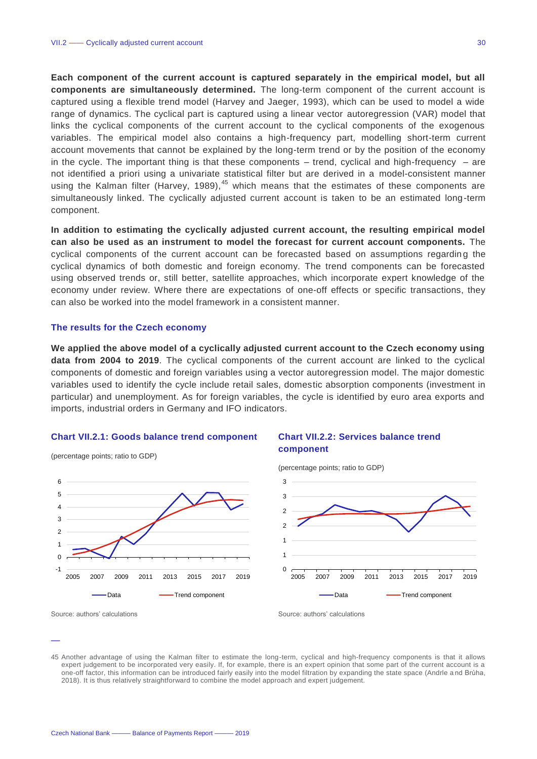**Each component of the current account is captured separately in the empirical model, but all components are simultaneously determined.** The long-term component of the current account is captured using a flexible trend model (Harvey and Jaeger, 1993), which can be used to model a wide range of dynamics. The cyclical part is captured using a linear vector autoregression (VAR) model that links the cyclical components of the current account to the cyclical components of the exogenous variables. The empirical model also contains a high-frequency part, modelling short-term current account movements that cannot be explained by the long-term trend or by the position of the economy in the cycle. The important thing is that these components – trend, cyclical and high-frequency – are not identified a priori using a univariate statistical filter but are derived in a model-consistent manner using the Kalman filter (Harvey, 1989), $45$  which means that the estimates of these components are simultaneously linked. The cyclically adjusted current account is taken to be an estimated long-term component.

**In addition to estimating the cyclically adjusted current account, the resulting empirical model can also be used as an instrument to model the forecast for current account components.** The cyclical components of the current account can be forecasted based on assumptions regarding the cyclical dynamics of both domestic and foreign economy. The trend components can be forecasted using observed trends or, still better, satellite approaches, which incorporate expert knowledge of the economy under review. Where there are expectations of one-off effects or specific transactions, they can also be worked into the model framework in a consistent manner.

#### **The results for the Czech economy**

**We applied the above model of a cyclically adjusted current account to the Czech economy using data from 2004 to 2019**. The cyclical components of the current account are linked to the cyclical components of domestic and foreign variables using a vector autoregression model. The major domestic variables used to identify the cycle include retail sales, domestic absorption components (investment in particular) and unemployment. As for foreign variables, the cycle is identified by euro area exports and imports, industrial orders in Germany and IFO indicators.

#### **Chart VII.2.1: Goods balance trend component**



#### **Chart VII.2.2: Services balance trend component**



—

(percentage points; ratio to GDP)

Source: authors' calculations Source: authors' calculations Source: authors' calculations

<sup>45</sup> Another advantage of using the Kalman filter to estimate the long-term, cyclical and high-frequency components is that it allows expert judgement to be incorporated very easily. If, for example, there is an expert opinion that some part of the current account is a one-off factor, this information can be introduced fairly easily into the model filtration by expanding the state space (Andrle a nd Brůha, 2018). It is thus relatively straightforward to combine the model approach and expert judgement.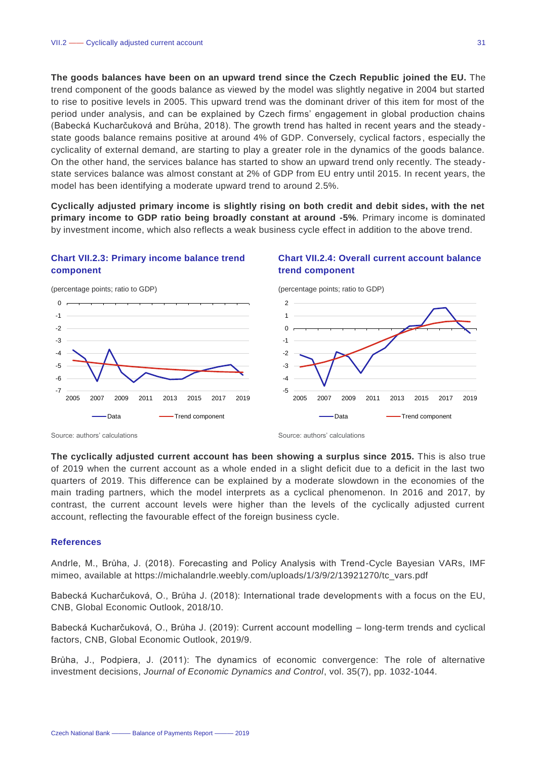**The goods balances have been on an upward trend since the Czech Republic joined the EU.** The trend component of the goods balance as viewed by the model was slightly negative in 2004 but started to rise to positive levels in 2005. This upward trend was the dominant driver of this item for most of the period under analysis, and can be explained by Czech firms' engagement in global production chains (Babecká Kucharčuková and Brůha, 2018). The growth trend has halted in recent years and the steady state goods balance remains positive at around 4% of GDP. Conversely, cyclical factors , especially the cyclicality of external demand, are starting to play a greater role in the dynamics of the goods balance. On the other hand, the services balance has started to show an upward trend only recently. The steady state services balance was almost constant at 2% of GDP from EU entry until 2015. In recent years, the model has been identifying a moderate upward trend to around 2.5%.

**Cyclically adjusted primary income is slightly rising on both credit and debit sides, with the net primary income to GDP ratio being broadly constant at around -5%**. Primary income is dominated by investment income, which also reflects a weak business cycle effect in addition to the above trend.

#### **Chart VII.2.3: Primary income balance trend component**

#### **Chart VII.2.4: Overall current account balance trend component**



(percentage points; ratio to GDP)

Source: authors' calculations **Source:** authors' calculations **Source:** authors' calculations

-7 -6 -5 -4 -3 -2 -1  $\overline{0}$ 

**The cyclically adjusted current account has been showing a surplus since 2015.** This is also true of 2019 when the current account as a whole ended in a slight deficit due to a deficit in the last two quarters of 2019. This difference can be explained by a moderate slowdown in the economies of the main trading partners, which the model interprets as a cyclical phenomenon. In 2016 and 2017, by contrast, the current account levels were higher than the levels of the cyclically adjusted current account, reflecting the favourable effect of the foreign business cycle.

#### **References**

Andrle, M., Brůha, J. (2018). Forecasting and Policy Analysis with Trend-Cycle Bayesian VARs, IMF mimeo, available at https://michalandrle.weebly.com/uploads/1/3/9/2/13921270/tc\_vars.pdf

Babecká Kucharčuková, O., Brůha J. (2018): International trade developments with a focus on the EU, CNB, Global Economic Outlook, 2018/10.

Babecká Kucharčuková, O., Brůha J. (2019): Current account modelling – long-term trends and cyclical factors, CNB, Global Economic Outlook, 2019/9.

Brůha, J., Podpiera, J. (2011): The dynamics of economic convergence: The role of alternative investment decisions, *Journal of Economic Dynamics and Control*, vol. 35(7), pp. 1032-1044.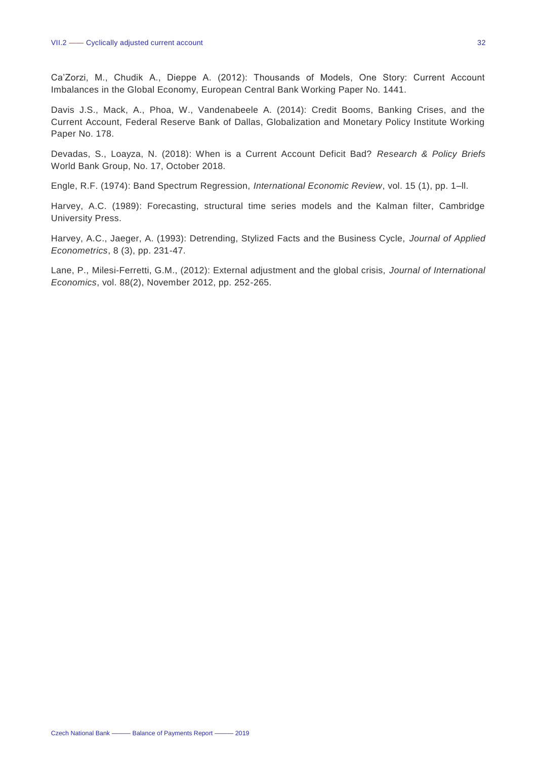Ca'Zorzi, M., Chudik A., Dieppe A. (2012): Thousands of Models, One Story: Current Account Imbalances in the Global Economy, European Central Bank Working Paper No. 1441.

Davis J.S., Mack, A., Phoa, W., Vandenabeele A. (2014): Credit Booms, Banking Crises, and the Current Account, Federal Reserve Bank of Dallas, Globalization and Monetary Policy Institute Working Paper No. 178.

Devadas, S., Loayza, N. (2018): When is a Current Account Deficit Bad? *Research & Policy Briefs* World Bank Group, No. 17, October 2018.

Engle, R.F. (1974): Band Spectrum Regression, *International Economic Review*, vol. 15 (1), pp. 1–ll.

Harvey, A.C. (1989): Forecasting, structural time series models and the Kalman filter, Cambridge University Press.

Harvey, A.C., Jaeger, A. (1993): Detrending, Stylized Facts and the Business Cycle, *Journal of Applied Econometrics*, 8 (3), pp. 231-47.

Lane, P., Milesi-Ferretti, G.M., (2012): External adjustment and the global crisis, *Journal of International Economics*, vol. 88(2), November 2012, pp. 252-265.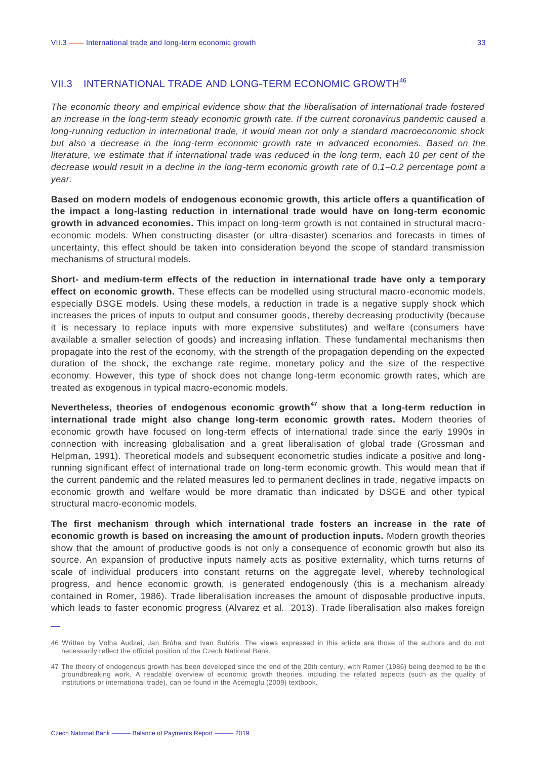#### <span id="page-33-0"></span>VII.3 INTERNATIONAL TRADE AND LONG-TERM ECONOMIC GROWTH<sup>46</sup>

*The economic theory and empirical evidence show that the liberalisation of international trade fostered an increase in the long-term steady economic growth rate. If the current coronavirus pandemic caused a long-running reduction in international trade, it would mean not only a standard macroeconomic shock but also a decrease in the long-term economic growth rate in advanced economies. Based on the literature, we estimate that if international trade was reduced in the long term, each 10 per cent of the decrease would result in a decline in the long-term economic growth rate of 0.1–0.2 percentage point a year.*

**Based on modern models of endogenous economic growth, this article offers a quantification of the impact a long-lasting reduction in international trade would have on long-term economic growth in advanced economies.** This impact on long-term growth is not contained in structural macroeconomic models. When constructing disaster (or ultra-disaster) scenarios and forecasts in times of uncertainty, this effect should be taken into consideration beyond the scope of standard transmission mechanisms of structural models.

**Short- and medium-term effects of the reduction in international trade have only a temporary effect on economic growth.** These effects can be modelled using structural macro-economic models, especially DSGE models. Using these models, a reduction in trade is a negative supply shock which increases the prices of inputs to output and consumer goods, thereby decreasing productivity (because it is necessary to replace inputs with more expensive substitutes) and welfare (consumers have available a smaller selection of goods) and increasing inflation. These fundamental mechanisms then propagate into the rest of the economy, with the strength of the propagation depending on the expected duration of the shock, the exchange rate regime, monetary policy and the size of the respective economy. However, this type of shock does not change long-term economic growth rates, which are treated as exogenous in typical macro-economic models.

**Nevertheless, theories of endogenous economic growth<sup>47</sup> show that a long-term reduction in international trade might also change long-term economic growth rates.** Modern theories of economic growth have focused on long-term effects of international trade since the early 1990s in connection with increasing globalisation and a great liberalisation of global trade (Grossman and Helpman, 1991). Theoretical models and subsequent econometric studies indicate a positive and longrunning significant effect of international trade on long-term economic growth. This would mean that if the current pandemic and the related measures led to permanent declines in trade, negative impacts on economic growth and welfare would be more dramatic than indicated by DSGE and other typical structural macro-economic models.

**The first mechanism through which international trade fosters an increase in the rate of economic growth is based on increasing the amount of production inputs.** Modern growth theories show that the amount of productive goods is not only a consequence of economic growth but also its source. An expansion of productive inputs namely acts as positive externality, which turns returns of scale of individual producers into constant returns on the aggregate level, whereby technological progress, and hence economic growth, is generated endogenously (this is a mechanism already contained in Romer, 1986). Trade liberalisation increases the amount of disposable productive inputs, which leads to faster economic progress (Alvarez et al. 2013). Trade liberalisation also makes foreign

<sup>46</sup> Written by Volha Audzei, Jan Brůha and Ivan Sutóris. The views expressed in this article are those of the authors and do not necessarily reflect the official position of the Czech National Bank.

<sup>47</sup> The theory of endogenous growth has been developed since the end of the 20th century, with Romer (1986) being deemed to be th e groundbreaking work. A readable overview of economic growth theories, including the related aspects (such as the quality of institutions or international trade), can be found in the Acemoglu (2009) textbook.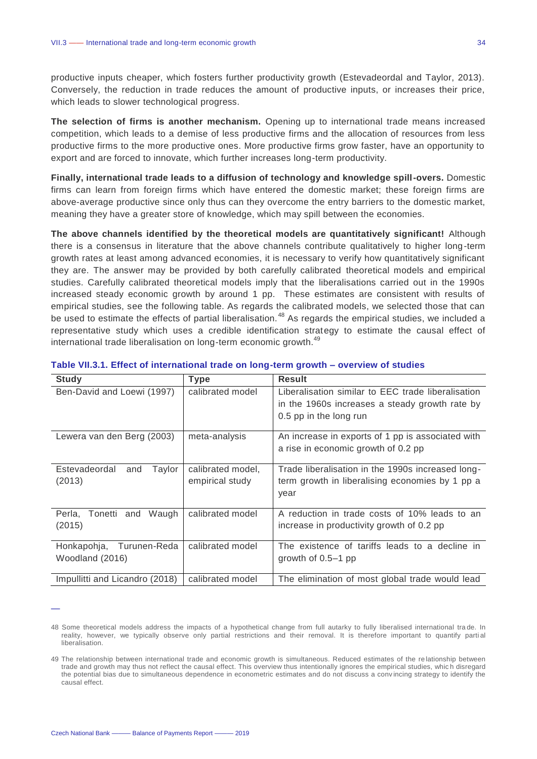productive inputs cheaper, which fosters further productivity growth (Estevadeordal and Taylor, 2013). Conversely, the reduction in trade reduces the amount of productive inputs, or increases their price, which leads to slower technological progress.

**The selection of firms is another mechanism.** Opening up to international trade means increased competition, which leads to a demise of less productive firms and the allocation of resources from less productive firms to the more productive ones. More productive firms grow faster, have an opportunity to export and are forced to innovate, which further increases long-term productivity.

**Finally, international trade leads to a diffusion of technology and knowledge spill-overs.** Domestic firms can learn from foreign firms which have entered the domestic market; these foreign firms are above-average productive since only thus can they overcome the entry barriers to the domestic market, meaning they have a greater store of knowledge, which may spill between the economies.

**The above channels identified by the theoretical models are quantitatively significant!** Although there is a consensus in literature that the above channels contribute qualitatively to higher long-term growth rates at least among advanced economies, it is necessary to verify how quantitatively significant they are. The answer may be provided by both carefully calibrated theoretical models and empirical studies. Carefully calibrated theoretical models imply that the liberalisations carried out in the 1990s increased steady economic growth by around 1 pp. These estimates are consistent with results of empirical studies, see the following table. As regards the calibrated models, we selected those that can be used to estimate the effects of partial liberalisation.<sup>48</sup> As regards the empirical studies, we included a representative study which uses a credible identification strategy to estimate the causal effect of international trade liberalisation on long-term economic growth.<sup>49</sup>

| <b>Study</b>                                   | <b>Type</b>                          | <b>Result</b>                                                                                                                  |
|------------------------------------------------|--------------------------------------|--------------------------------------------------------------------------------------------------------------------------------|
| Ben-David and Loewi (1997)                     | calibrated model                     | Liberalisation similar to EEC trade liberalisation<br>in the 1960s increases a steady growth rate by<br>0.5 pp in the long run |
| Lewera van den Berg (2003)                     | meta-analysis                        | An increase in exports of 1 pp is associated with<br>a rise in economic growth of 0.2 pp                                       |
| Estevadeordal<br>Taylor<br>and<br>(2013)       | calibrated model,<br>empirical study | Trade liberalisation in the 1990s increased long-<br>term growth in liberalising economies by 1 pp a<br>year                   |
| Perla, Tonetti and Waugh<br>(2015)             | calibrated model                     | A reduction in trade costs of 10% leads to an<br>increase in productivity growth of 0.2 pp                                     |
| Turunen-Reda<br>Honkapohja,<br>Woodland (2016) | calibrated model                     | The existence of tariffs leads to a decline in<br>growth of $0.5-1$ pp                                                         |
| Impullitti and Licandro (2018)                 | calibrated model                     | The elimination of most global trade would lead                                                                                |

| Table VII.3.1. Effect of international trade on long-term growth - overview of studies |  |  |
|----------------------------------------------------------------------------------------|--|--|
|----------------------------------------------------------------------------------------|--|--|

<sup>48</sup> Some theoretical models address the impacts of a hypothetical change from full autarky to fully liberalised international tra de. In reality, however, we typically observe only partial restrictions and their removal. It is therefore important to quantify partial liberalisation.

<sup>49</sup> The relationship between international trade and economic growth is simultaneous. Reduced estimates of the re lationship between trade and growth may thus not reflect the causal effect. This overview thus intentionally ignores the empirical studies, which disregard the potential bias due to simultaneous dependence in econometric estimates and do not discuss a conv incing strategy to identify the causal effect.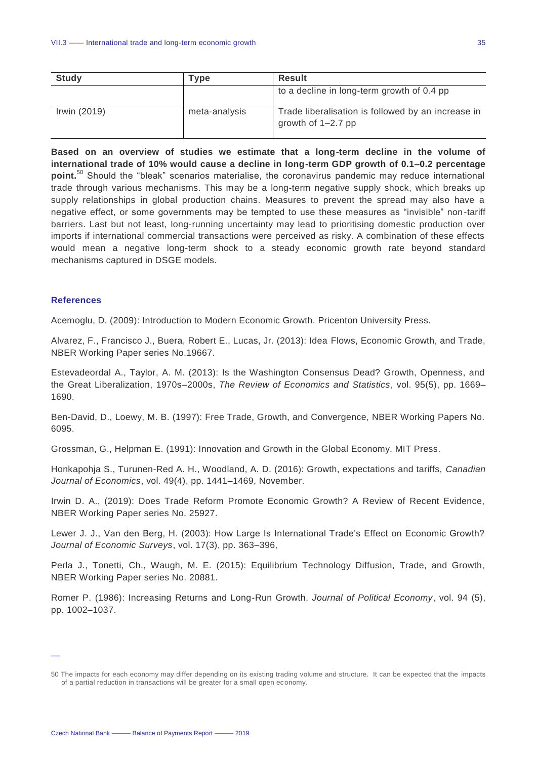| <b>Study</b> | <b>Tvpe</b>   | <b>Result</b>                                                              |
|--------------|---------------|----------------------------------------------------------------------------|
|              |               | to a decline in long-term growth of 0.4 pp                                 |
| Irwin (2019) | meta-analysis | Trade liberalisation is followed by an increase in<br>growth of $1-2.7$ pp |

**Based on an overview of studies we estimate that a long-term decline in the volume of international trade of 10% would cause a decline in long-term GDP growth of 0.1–0.2 percentage point.**<sup>50</sup> Should the "bleak" scenarios materialise, the coronavirus pandemic may reduce international trade through various mechanisms. This may be a long-term negative supply shock, which breaks up supply relationships in global production chains. Measures to prevent the spread may also have a negative effect, or some governments may be tempted to use these measures as "invisible" non-tariff barriers. Last but not least, long-running uncertainty may lead to prioritising domestic production over imports if international commercial transactions were perceived as risky. A combination of these effects would mean a negative long-term shock to a steady economic growth rate beyond standard mechanisms captured in DSGE models.

#### **References**

—

Acemoglu, D. (2009): Introduction to Modern Economic Growth. Pricenton University Press.

Alvarez, F., Francisco J., Buera, Robert E., Lucas, Jr. (2013): Idea Flows, Economic Growth, and Trade, NBER Working Paper series No.19667.

Estevadeordal A., Taylor, A. M. (2013): Is the Washington Consensus Dead? Growth, Openness, and the Great Liberalization, 1970s–2000s, *The Review of Economics and Statistics*, vol. 95(5), pp. 1669– 1690.

Ben-David, D., Loewy, M. B. (1997): Free Trade, Growth, and Convergence, NBER Working Papers No. 6095.

Grossman, G., Helpman E. (1991): Innovation and Growth in the Global Economy. MIT Press.

Honkapohja S., Turunen-Red A. H., Woodland, A. D. (2016): Growth, expectations and tariffs, *Canadian Journal of Economics*, vol. 49(4), pp. 1441–1469, November.

Irwin D. A., (2019): Does Trade Reform Promote Economic Growth? A Review of Recent Evidence, NBER Working Paper series No. 25927.

Lewer J. J., Van den Berg, H. (2003): How Large Is International Trade's Effect on Economic Growth? *Journal of Economic Surveys*, vol. 17(3), pp. 363–396,

Perla J., Tonetti, Ch., Waugh, M. E. (2015): Equilibrium Technology Diffusion, Trade, and Growth, NBER Working Paper series No. 20881.

Romer P. (1986): Increasing Returns and Long-Run Growth, *Journal of Political Economy*, vol. 94 (5), pp. 1002–1037.

<sup>50</sup> The impacts for each economy may differ depending on its existing trading volume and structure. It can be expected that the impacts of a partial reduction in transactions will be greater for a small open economy.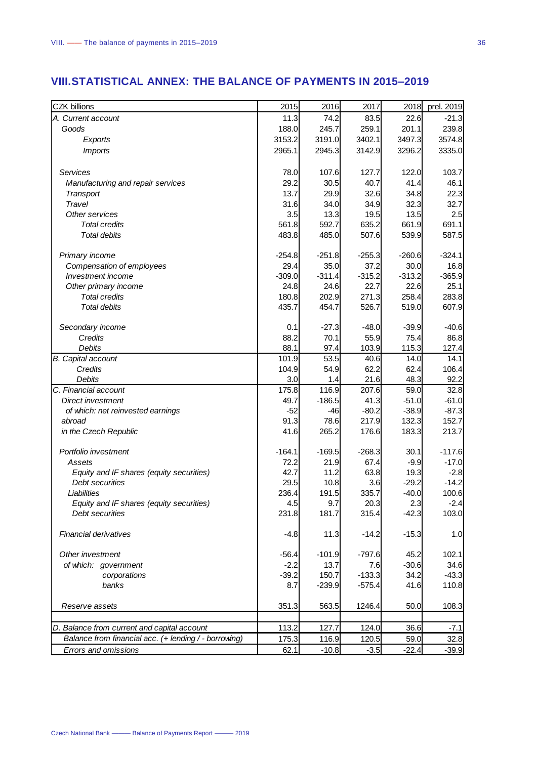### <span id="page-36-0"></span>**VIII.STATISTICAL ANNEX: THE BALANCE OF PAYMENTS IN 2015–2019**

| <b>CZK billions</b>                                    | 2015          | 2016              | 2017            | 2018               | prel. 2019         |
|--------------------------------------------------------|---------------|-------------------|-----------------|--------------------|--------------------|
| A. Current account                                     | 11.3          | 74.2              | 83.5            | 22.6               | $-21.3$            |
| Goods                                                  | 188.0         | 245.7             | 259.1           | 201.1              | 239.8              |
| Exports                                                | 3153.2        | 3191.0            | 3402.1          | 3497.3             | 3574.8             |
| <b>Imports</b>                                         | 2965.1        | 2945.3            | 3142.9          | 3296.2             | 3335.0             |
| <b>Services</b>                                        | 78.0          | 107.6             | 127.7           | 122.0              | 103.7              |
|                                                        | 29.2          | 30.5              | 40.7            | 41.4               | 46.1               |
| Manufacturing and repair services                      | 13.7          | 29.9              | 32.6            | 34.8               | 22.3               |
| Transport<br><b>Travel</b>                             | 31.6          | 34.0              | 34.9            | 32.3               | 32.7               |
| Other services                                         | 3.5           | 13.3              | 19.5            | 13.5               | 2.5                |
| <b>Total credits</b>                                   | 561.8         | 592.7             | 635.2           | 661.9              | 691.1              |
| <b>Total debits</b>                                    | 483.8         | 485.0             | 507.6           | 539.9              | 587.5              |
|                                                        |               |                   |                 |                    |                    |
| Primary income                                         | $-254.8$      | $-251.8$          | $-255.3$        | $-260.6$           | $-324.1$           |
| Compensation of employees                              | 29.4          | 35.0              | 37.2            | 30.0               | 16.8               |
| Investment income                                      | $-309.0$      | $-311.4$          | $-315.2$        | $-313.2$           | $-365.9$           |
| Other primary income                                   | 24.8          | 24.6<br>202.9     | 22.7<br>271.3   | 22.6<br>258.4      | 25.1<br>283.8      |
| <b>Total credits</b>                                   | 180.8         |                   |                 |                    |                    |
| <b>Total debits</b>                                    | 435.7         | 454.7             | 526.7           | 519.0              | 607.9              |
| Secondary income                                       | 0.1           | $-27.3$           | $-48.0$         | $-39.9$            | $-40.6$            |
| Credits                                                | 88.2          | 70.1              | 55.9            | 75.4               | 86.8               |
| Debits                                                 | 88.1          | 97.4              | 103.9           | 115.3              | 127.4              |
| <b>B.</b> Capital account                              | 101.9         | 53.5              | 40.6            | 14.0               | 14.1               |
| Credits                                                | 104.9         | 54.9              | 62.2            | 62.4               | 106.4              |
| Debits                                                 | 3.0           | 1.4               | 21.6            | 48.3               | 92.2               |
| C. Financial account                                   | 175.8         | 116.9             | 207.6           | 59.0               | 32.8               |
| Direct investment<br>of which: net reinvested earnings | 49.7<br>$-52$ | $-186.5$<br>$-46$ | 41.3<br>$-80.2$ | $-51.0$<br>$-38.9$ | $-61.0$<br>$-87.3$ |
| abroad                                                 | 91.3          | 78.6              | 217.9           | 132.3              | 152.7              |
| in the Czech Republic                                  | 41.6          | 265.2             | 176.6           | 183.3              | 213.7              |
|                                                        |               |                   |                 |                    |                    |
| Portfolio investment                                   | $-164.1$      | $-169.5$          | $-268.3$        | 30.1               | $-117.6$           |
| Assets                                                 | 72.2          | 21.9              | 67.4            | $-9.9$             | $-17.0$            |
| Equity and IF shares (equity securities)               | 42.7          | 11.2              | 63.8            | 19.3               | $-2.8$             |
| Debt securities                                        | 29.5          | 10.8              | 3.6             | $-29.2$            | $-14.2$            |
| Liabilities                                            | 236.4         | 191.5             | 335.7           | $-40.0$            | 100.6              |
| Equity and IF shares (equity securities)               | 4.5           | 9.7               | 20.3            | 2.3                | $-2.4$             |
| Debt securities                                        | 231.8         | 181.7             | 315.4           | $-42.3$            | 103.0              |
| Financial derivatives                                  | $-4.8$        | 11.3              | $-14.2$         | $-15.3$            | 1.0                |
| Other investment                                       | $-56.4$       | $-101.9$          | $-797.6$        | 45.2               | 102.1              |
| of which: government                                   | $-2.2$        | 13.7              | 7.6             | $-30.6$            | 34.6               |
| corporations                                           | $-39.2$       | 150.7             | $-133.3$        | 34.2               | $-43.3$            |
| banks                                                  | 8.7           | $-239.9$          | $-575.4$        | 41.6               | 110.8              |
| Reserve assets                                         | 351.3         | 563.5             | 1246.4          | 50.0               | 108.3              |
|                                                        |               |                   |                 |                    |                    |
| D. Balance from current and capital account            | 113.2         | 127.7             | 124.0           | 36.6               | $-7.1$             |
| Balance from financial acc. (+ lending / - borrowing)  | 175.3         | 116.9             | 120.5           | 59.0               | 32.8               |
| Errors and omissions                                   | 62.1          | $-10.8$           | $-3.5$          | $-22.4$            | $-39.9$            |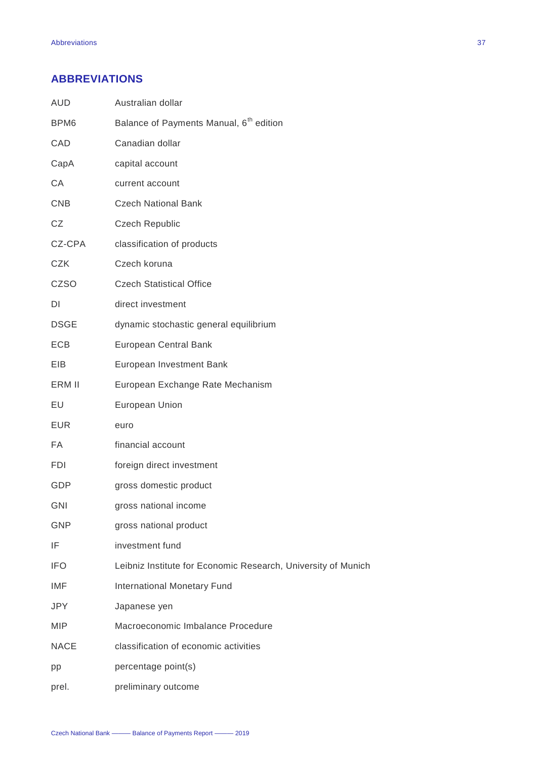### <span id="page-37-0"></span>**ABBREVIATIONS**

| <b>AUD</b>  | Australian dollar                                             |
|-------------|---------------------------------------------------------------|
| BPM6        | Balance of Payments Manual, 6 <sup>th</sup> edition           |
| CAD         | Canadian dollar                                               |
| CapA        | capital account                                               |
| CA          | current account                                               |
| <b>CNB</b>  | <b>Czech National Bank</b>                                    |
| CZ          | <b>Czech Republic</b>                                         |
| CZ-CPA      | classification of products                                    |
| <b>CZK</b>  | Czech koruna                                                  |
| <b>CZSO</b> | <b>Czech Statistical Office</b>                               |
| DI          | direct investment                                             |
| <b>DSGE</b> | dynamic stochastic general equilibrium                        |
| <b>ECB</b>  | <b>European Central Bank</b>                                  |
| EIB.        | European Investment Bank                                      |
| ERM II      | European Exchange Rate Mechanism                              |
| EU          | European Union                                                |
| <b>EUR</b>  | euro                                                          |
| FA          | financial account                                             |
| <b>FDI</b>  | foreign direct investment                                     |
| GDP         | gross domestic product                                        |
| <b>GNI</b>  | gross national income                                         |
| <b>GNP</b>  | gross national product                                        |
| IF          | investment fund                                               |
| <b>IFO</b>  | Leibniz Institute for Economic Research, University of Munich |
| IMF         | <b>International Monetary Fund</b>                            |
| <b>JPY</b>  | Japanese yen                                                  |
| <b>MIP</b>  | Macroeconomic Imbalance Procedure                             |
| <b>NACE</b> | classification of economic activities                         |
| pp          | percentage point(s)                                           |
| prel.       | preliminary outcome                                           |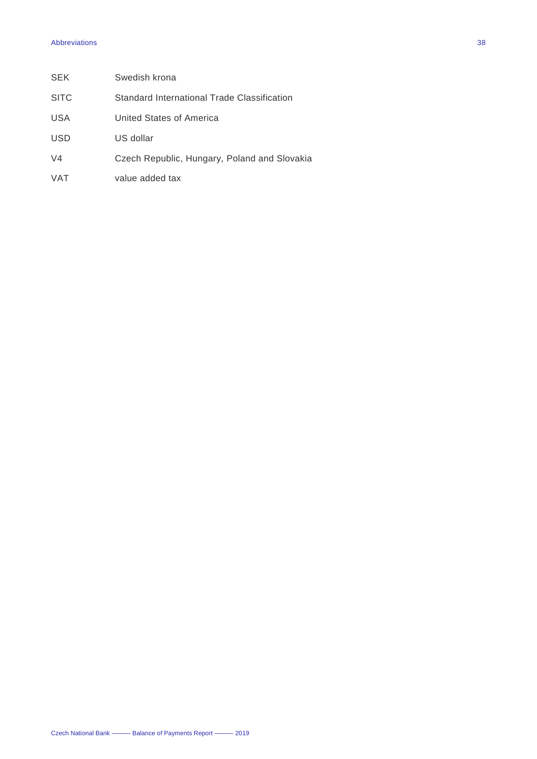#### Abbreviations 38

| <b>SEK</b>     | Swedish krona                                |
|----------------|----------------------------------------------|
| <b>SITC</b>    | Standard International Trade Classification  |
| <b>USA</b>     | United States of America                     |
| <b>USD</b>     | US dollar                                    |
| V <sub>4</sub> | Czech Republic, Hungary, Poland and Slovakia |
| <b>VAT</b>     | value added tax                              |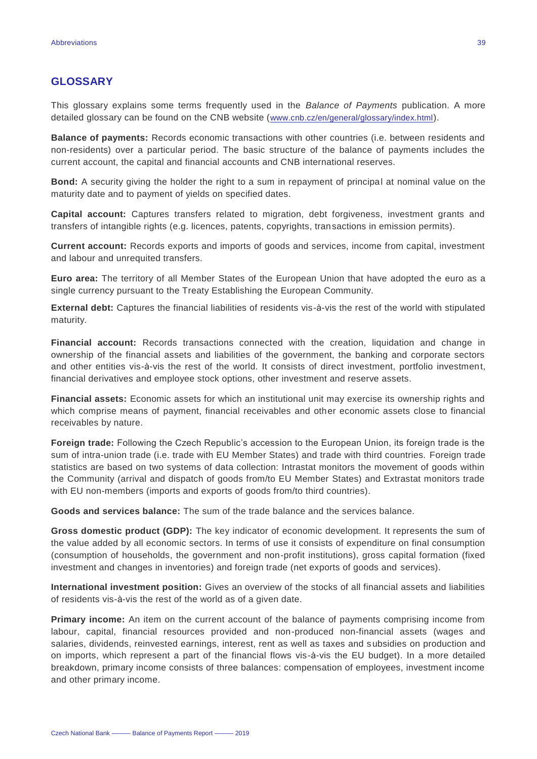#### <span id="page-39-0"></span>**GLOSSARY**

This glossary explains some terms frequently used in the *Balance of Payments* publication. A more detailed glossary can be found on the CNB website ([www.cnb.cz/en/general/glossary/index.html](http://www.cnb.cz/en/general/glossary/index.html)).

**Balance of payments:** Records economic transactions with other countries (i.e. between residents and non-residents) over a particular period. The basic structure of the balance of payments includes the current account, the capital and financial accounts and CNB international reserves.

**Bond:** A security giving the holder the right to a sum in repayment of principal at nominal value on the maturity date and to payment of yields on specified dates.

**Capital account:** Captures transfers related to migration, debt forgiveness, investment grants and transfers of intangible rights (e.g. licences, patents, copyrights, transactions in emission permits).

**Current account:** Records exports and imports of goods and services, income from capital, investment and labour and unrequited transfers.

**Euro area:** The territory of all Member States of the European Union that have adopted the euro as a single currency pursuant to the Treaty Establishing the European Community.

**External debt:** Captures the financial liabilities of residents vis-à-vis the rest of the world with stipulated maturity.

**Financial account:** Records transactions connected with the creation, liquidation and change in ownership of the financial assets and liabilities of the government, the banking and corporate sectors and other entities vis-à-vis the rest of the world. It consists of direct investment, portfolio investment, financial derivatives and employee stock options, other investment and reserve assets.

**Financial assets:** Economic assets for which an institutional unit may exercise its ownership rights and which comprise means of payment, financial receivables and other economic assets close to financial receivables by nature.

**Foreign trade:** Following the Czech Republic's accession to the European Union, its foreign trade is the sum of intra-union trade (i.e. trade with EU Member States) and trade with third countries. Foreign trade statistics are based on two systems of data collection: Intrastat monitors the movement of goods within the Community (arrival and dispatch of goods from/to EU Member States) and Extrastat monitors trade with EU non-members (imports and exports of goods from/to third countries).

**Goods and services balance:** The sum of the trade balance and the services balance.

**Gross domestic product (GDP):** The key indicator of economic development. It represents the sum of the value added by all economic sectors. In terms of use it consists of expenditure on final consumption (consumption of households, the government and non-profit institutions), gross capital formation (fixed investment and changes in inventories) and foreign trade (net exports of goods and services).

**International investment position:** Gives an overview of the stocks of all financial assets and liabilities of residents vis-à-vis the rest of the world as of a given date.

**Primary income:** An item on the current account of the balance of payments comprising income from labour, capital, financial resources provided and non-produced non-financial assets (wages and salaries, dividends, reinvested earnings, interest, rent as well as taxes and subsidies on production and on imports, which represent a part of the financial flows vis-à-vis the EU budget). In a more detailed breakdown, primary income consists of three balances: compensation of employees, investment income and other primary income.